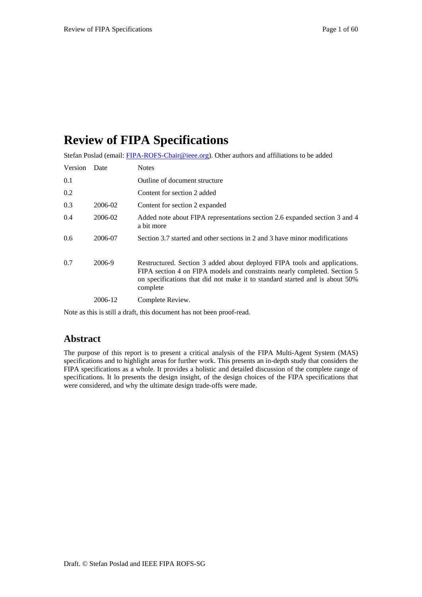# **Review of FIPA Specifications**

Stefan Poslad (email: FIPA-ROFS-Chair@ieee.org). Other authors and affiliations to be added

| Version | Date    | <b>Notes</b>                                                                                                                                                                                                                                      |
|---------|---------|---------------------------------------------------------------------------------------------------------------------------------------------------------------------------------------------------------------------------------------------------|
| 0.1     |         | Outline of document structure                                                                                                                                                                                                                     |
| 0.2     |         | Content for section 2 added                                                                                                                                                                                                                       |
| 0.3     | 2006-02 | Content for section 2 expanded                                                                                                                                                                                                                    |
| 0.4     | 2006-02 | Added note about FIPA representations section 2.6 expanded section 3 and 4<br>a bit more                                                                                                                                                          |
| 0.6     | 2006-07 | Section 3.7 started and other sections in 2 and 3 have minor modifications                                                                                                                                                                        |
| 0.7     | 2006-9  | Restructured. Section 3 added about deployed FIPA tools and applications.<br>FIPA section 4 on FIPA models and constraints nearly completed. Section 5<br>on specifications that did not make it to standard started and is about 50%<br>complete |
|         | 2006-12 | Complete Review.                                                                                                                                                                                                                                  |

Note as this is still a draft, this document has not been proof-read.

# **Abstract**

The purpose of this report is to present a critical analysis of the FIPA Multi-Agent System (MAS) specifications and to highlight areas for further work. This presents an in-depth study that considers the FIPA specifications as a whole. It provides a holistic and detailed discussion of the complete range of specifications. It lo presents the design insight, of the design choices of the FIPA specifications that were considered, and why the ultimate design trade-offs were made.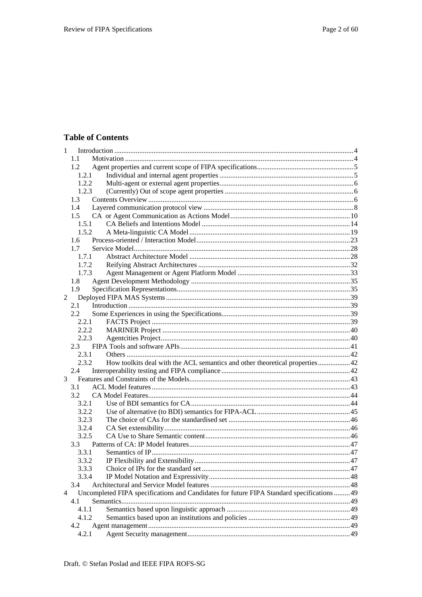# **Table of Contents**

| 1 |               |                                                                                            |  |
|---|---------------|--------------------------------------------------------------------------------------------|--|
|   | 1.1           |                                                                                            |  |
|   | 1.2           |                                                                                            |  |
|   | 1.2.1         |                                                                                            |  |
|   | 1.2.2         |                                                                                            |  |
|   | 1.2.3         |                                                                                            |  |
|   | 1.3           |                                                                                            |  |
|   |               |                                                                                            |  |
|   | 1.4           |                                                                                            |  |
|   | 1.5           |                                                                                            |  |
|   | 1.5.1         |                                                                                            |  |
|   | 1.5.2         |                                                                                            |  |
|   | $1.6^{\circ}$ |                                                                                            |  |
|   | 1.7           |                                                                                            |  |
|   | 1.7.1         |                                                                                            |  |
|   | 1.7.2         |                                                                                            |  |
|   | 1.7.3         |                                                                                            |  |
|   | 1.8           |                                                                                            |  |
|   | 1.9           |                                                                                            |  |
|   |               |                                                                                            |  |
| 2 |               |                                                                                            |  |
|   | 2.1           |                                                                                            |  |
|   | 2.2           |                                                                                            |  |
|   | 2.2.1         |                                                                                            |  |
|   | 2.2.2         |                                                                                            |  |
|   | 2.2.3         |                                                                                            |  |
|   | 2.3           |                                                                                            |  |
|   | 2.3.1         |                                                                                            |  |
|   | 2.3.2         | How toolkits deal with the ACL semantics and other theoretical properties 42               |  |
|   | 2.4           |                                                                                            |  |
| 3 |               |                                                                                            |  |
|   | 3.1           |                                                                                            |  |
|   |               |                                                                                            |  |
|   | 3.2           |                                                                                            |  |
|   | 3.2.1         |                                                                                            |  |
|   | 3.2.2         |                                                                                            |  |
|   | 3.2.3         |                                                                                            |  |
|   | 3.2.4         |                                                                                            |  |
|   | 3.2.5         |                                                                                            |  |
|   | $3.3 -$       |                                                                                            |  |
|   | 3.3.1         |                                                                                            |  |
|   | 3.3.2         |                                                                                            |  |
|   | 3.3.3         |                                                                                            |  |
|   | 3.3.4         |                                                                                            |  |
|   |               |                                                                                            |  |
|   | 3.4           |                                                                                            |  |
| 4 |               | Uncompleted FIPA specifications and Candidates for future FIPA Standard specifications  49 |  |
|   | 4.1           |                                                                                            |  |
|   | 4.1.1         |                                                                                            |  |
|   | 4.1.2         |                                                                                            |  |
|   | 4.2           |                                                                                            |  |
|   | 4.2.1         |                                                                                            |  |
|   |               |                                                                                            |  |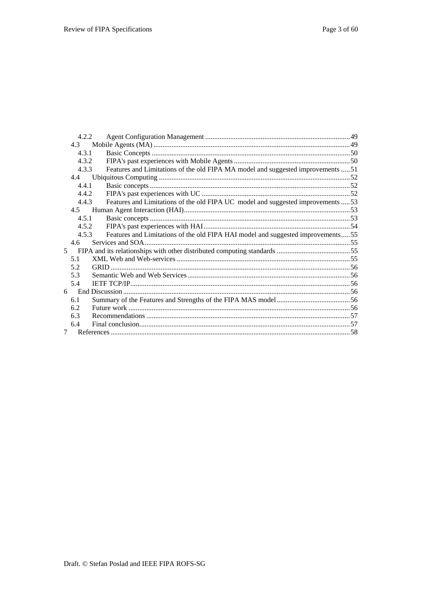| 4.2.2 |                                                                                  |  |
|-------|----------------------------------------------------------------------------------|--|
| 4.3   |                                                                                  |  |
| 4.3.1 |                                                                                  |  |
| 4.3.2 |                                                                                  |  |
| 4.3.3 | Features and Limitations of the old FIPA MA model and suggested improvements  51 |  |
| 4.4   |                                                                                  |  |
| 4.4.1 |                                                                                  |  |
| 4.4.2 |                                                                                  |  |
| 4.4.3 | Features and Limitations of the old FIPA UC model and suggested improvements  53 |  |
| 4.5   |                                                                                  |  |
| 4.5.1 |                                                                                  |  |
| 4.5.2 |                                                                                  |  |
| 4.5.3 | Features and Limitations of the old FIPA HAI model and suggested improvements55  |  |
| 4.6   |                                                                                  |  |
|       |                                                                                  |  |
| 5.1   |                                                                                  |  |
| 5.2   |                                                                                  |  |
| 5.3   |                                                                                  |  |
| 5.4   |                                                                                  |  |
| რ —   |                                                                                  |  |
| 6.1   |                                                                                  |  |
| 6.2   |                                                                                  |  |
| 6.3   |                                                                                  |  |
| 6.4   |                                                                                  |  |
| 7     |                                                                                  |  |
|       |                                                                                  |  |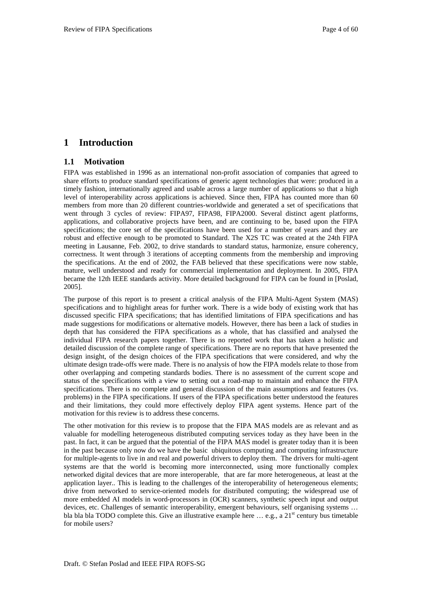# **1 Introduction**

### **1.1 Motivation**

FIPA was established in 1996 as an international non-profit association of companies that agreed to share efforts to produce standard specifications of generic agent technologies that were: produced in a timely fashion, internationally agreed and usable across a large number of applications so that a high level of interoperability across applications is achieved. Since then, FIPA has counted more than 60 members from more than 20 different countries-worldwide and generated a set of specifications that went through 3 cycles of review: FIPA97, FIPA98, FIPA2000. Several distinct agent platforms, applications, and collaborative projects have been, and are continuing to be, based upon the FIPA specifications; the core set of the specifications have been used for a number of years and they are robust and effective enough to be promoted to Standard. The X2S TC was created at the 24th FIPA meeting in Lausanne, Feb. 2002, to drive standards to standard status, harmonize, ensure coherency, correctness. It went through 3 iterations of accepting comments from the membership and improving the specifications. At the end of 2002, the FAB believed that these specifications were now stable, mature, well understood and ready for commercial implementation and deployment. In 2005, FIPA became the 12th IEEE standards activity. More detailed background for FIPA can be found in [Poslad, 2005].

The purpose of this report is to present a critical analysis of the FIPA Multi-Agent System (MAS) specifications and to highlight areas for further work. There is a wide body of existing work that has discussed specific FIPA specifications; that has identified limitations of FIPA specifications and has made suggestions for modifications or alternative models. However, there has been a lack of studies in depth that has considered the FIPA specifications as a whole, that has classified and analysed the individual FIPA research papers together. There is no reported work that has taken a holistic and detailed discussion of the complete range of specifications. There are no reports that have presented the design insight, of the design choices of the FIPA specifications that were considered, and why the ultimate design trade-offs were made. There is no analysis of how the FIPA models relate to those from other overlapping and competing standards bodies. There is no assessment of the current scope and status of the specifications with a view to setting out a road-map to maintain and enhance the FIPA specifications. There is no complete and general discussion of the main assumptions and features (vs. problems) in the FIPA specifications. If users of the FIPA specifications better understood the features and their limitations, they could more effectively deploy FIPA agent systems. Hence part of the motivation for this review is to address these concerns.

The other motivation for this review is to propose that the FIPA MAS models are as relevant and as valuable for modelling heterogeneous distributed computing services today as they have been in the past. In fact, it can be argued that the potential of the FIPA MAS model is greater today than it is been in the past because only now do we have the basic ubiquitous computing and computing infrastructure for multiple-agents to live in and real and powerful drivers to deploy them. The drivers for multi-agent systems are that the world is becoming more interconnected, using more functionally complex networked digital devices that are more interoperable, that are far more heterogeneous, at least at the application layer.. This is leading to the challenges of the interoperability of heterogeneous elements; drive from networked to service-oriented models for distributed computing; the widespread use of more embedded AI models in word-processors in (OCR) scanners, synthetic speech input and output devices, etc. Challenges of semantic interoperability, emergent behaviours, self organising systems … bla bla TODO complete this. Give an illustrative example here ... e.g., a 21<sup>st</sup> century bus timetable for mobile users?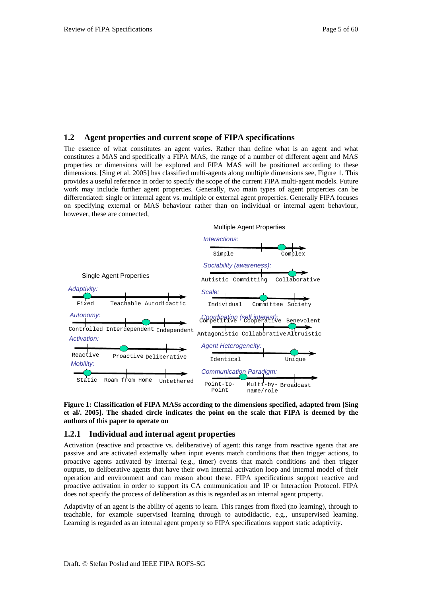#### **1.2 Agent properties and current scope of FIPA specifications**

The essence of what constitutes an agent varies. Rather than define what is an agent and what constitutes a MAS and specifically a FIPA MAS, the range of a number of different agent and MAS properties or dimensions will be explored and FIPA MAS will be positioned according to these dimensions. [Sing et al. 2005] has classified multi-agents along multiple dimensions see, Figure 1. This provides a useful reference in order to specify the scope of the current FIPA multi-agent models. Future work may include further agent properties. Generally, two main types of agent properties can be differentiated: single or internal agent vs. multiple or external agent properties. Generally FIPA focuses on specifying external or MAS behaviour rather than on individual or internal agent behaviour, however, these are connected,





#### **1.2.1 Individual and internal agent properties**

Activation (reactive and proactive vs. deliberative) of agent: this range from reactive agents that are passive and are activated externally when input events match conditions that then trigger actions, to proactive agents activated by internal (e.g., timer) events that match conditions and then trigger outputs, to deliberative agents that have their own internal activation loop and internal model of their operation and environment and can reason about these. FIPA specifications support reactive and proactive activation in order to support its CA communication and IP or Interaction Protocol. FIPA does not specify the process of deliberation as this is regarded as an internal agent property.

Adaptivity of an agent is the ability of agents to learn. This ranges from fixed (no learning), through to teachable, for example supervised learning through to autodidactic, e.g., unsupervised learning. Learning is regarded as an internal agent property so FIPA specifications support static adaptivity.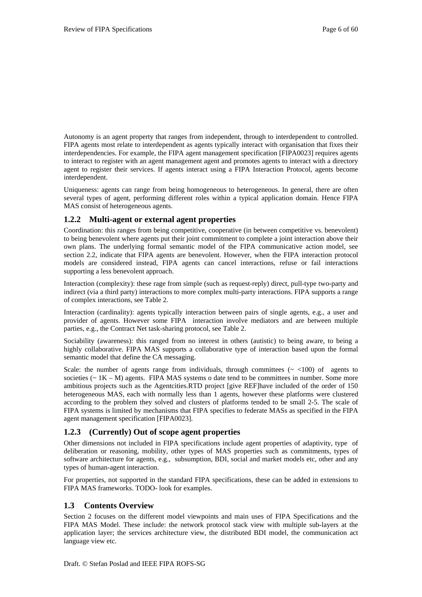Autonomy is an agent property that ranges from independent, through to interdependent to controlled. FIPA agents most relate to interdependent as agents typically interact with organisation that fixes their interdependencies. For example, the FIPA agent management specification [FIPA0023] requires agents to interact to register with an agent management agent and promotes agents to interact with a directory agent to register their services. If agents interact using a FIPA Interaction Protocol, agents become interdependent.

Uniqueness: agents can range from being homogeneous to heterogeneous. In general, there are often several types of agent, performing different roles within a typical application domain. Hence FIPA MAS consist of heterogeneous agents.

# **1.2.2 Multi-agent or external agent properties**

Coordination: this ranges from being competitive, cooperative (in between competitive vs. benevolent) to being benevolent where agents put their joint commitment to complete a joint interaction above their own plans. The underlying formal semantic model of the FIPA communicative action model, see section 2.2, indicate that FIPA agents are benevolent. However, when the FIPA interaction protocol models are considered instead, FIPA agents can cancel interactions, refuse or fail interactions supporting a less benevolent approach.

Interaction (complexity): these rage from simple (such as request-reply) direct, pull-type two-party and indirect (via a third party) interactions to more complex multi-party interactions. FIPA supports a range of complex interactions, see Table 2.

Interaction (cardinality): agents typically interaction between pairs of single agents, e.g., a user and provider of agents. However some FIPA interaction involve mediators and are between multiple parties, e.g., the Contract Net task-sharing protocol, see Table 2.

Sociability (awareness): this ranged from no interest in others (autistic) to being aware, to being a highly collaborative. FIPA MAS supports a collaborative type of interaction based upon the formal semantic model that define the CA messaging.

Scale: the number of agents range from individuals, through committees ( $\sim$  <100) of agents to societies ( $\sim$  1K – M) agents. FIPA MAS systems o date tend to be committees in number. Some more ambitious projects such as the Agentcities.RTD project [give REF]have included of the order of 150 heterogeneous MAS, each with normally less than 1 agents, however these platforms were clustered according to the problem they solved and clusters of platforms tended to be small 2-5. The scale of FIPA systems is limited by mechanisms that FIPA specifies to federate MASs as specified in the FIPA agent management specification [FIPA0023].

# **1.2.3 (Currently) Out of scope agent properties**

Other dimensions not included in FIPA specifications include agent properties of adaptivity, type of deliberation or reasoning, mobility, other types of MAS properties such as commitments, types of software architecture for agents, e.g., subsumption, BDI, social and market models etc, other and any types of human-agent interaction.

For properties, not supported in the standard FIPA specifications, these can be added in extensions to FIPA MAS frameworks. TODO- look for examples.

# **1.3 Contents Overview**

Section 2 focuses on the different model viewpoints and main uses of FIPA Specifications and the FIPA MAS Model. These include: the network protocol stack view with multiple sub-layers at the application layer; the services architecture view, the distributed BDI model, the communication act language view etc.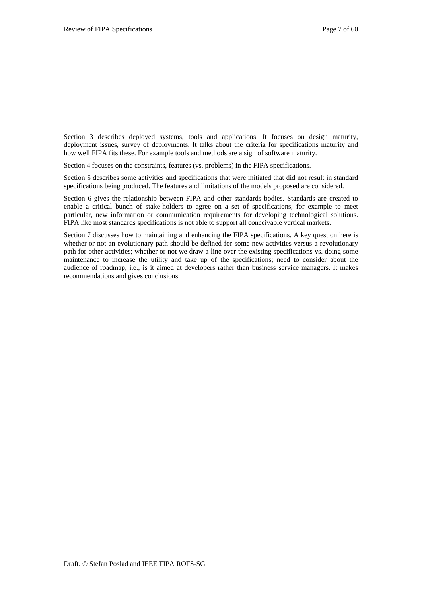Section 3 describes deployed systems, tools and applications. It focuses on design maturity, deployment issues, survey of deployments. It talks about the criteria for specifications maturity and how well FIPA fits these. For example tools and methods are a sign of software maturity.

Section 4 focuses on the constraints, features (vs. problems) in the FIPA specifications.

Section 5 describes some activities and specifications that were initiated that did not result in standard specifications being produced. The features and limitations of the models proposed are considered.

Section 6 gives the relationship between FIPA and other standards bodies. Standards are created to enable a critical bunch of stake-holders to agree on a set of specifications, for example to meet particular, new information or communication requirements for developing technological solutions. FIPA like most standards specifications is not able to support all conceivable vertical markets.

Section 7 discusses how to maintaining and enhancing the FIPA specifications. A key question here is whether or not an evolutionary path should be defined for some new activities versus a revolutionary path for other activities; whether or not we draw a line over the existing specifications vs. doing some maintenance to increase the utility and take up of the specifications; need to consider about the audience of roadmap, i.e., is it aimed at developers rather than business service managers. It makes recommendations and gives conclusions.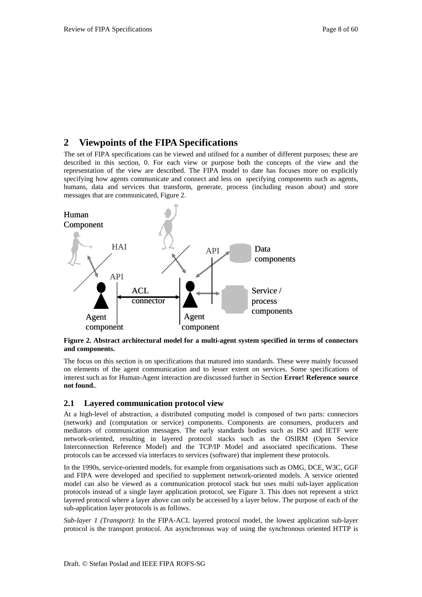# **2 Viewpoints of the FIPA Specifications**

The set of FIPA specifications can be viewed and utilised for a number of different purposes; these are described in this section, 0. For each view or purpose both the concepts of the view and the representation of the view are described. The FIPA model to date has focuses more on explicitly specifying how agents communicate and connect and less on specifying components such as agents, humans, data and services that transform, generate, process (including reason about) and store messages that are communicated, Figure 2.



**Figure 2. Abstract architectural model for a multi-agent system specified in terms of connectors and components.** 

The focus on this section is on specifications that matured into standards. These were mainly focussed on elements of the agent communication and to lesser extent on services. Some specifications of interest such as for Human-Agent interaction are discussed further in Section **Error! Reference source not found.**.

# **2.1 Layered communication protocol view**

At a high-level of abstraction, a distributed computing model is composed of two parts: connectors (network) and (computation or service) components. Components are consumers, producers and mediators of communication messages. The early standards bodies such as ISO and IETF were network-oriented, resulting in layered protocol stacks such as the OSIRM (Open Service Interconnection Reference Model) and the TCP/IP Model and associated specifications. These protocols can be accessed via interfaces to services (software) that implement these protocols.

In the 1990s, service-oriented models, for example from organisations such as OMG, DCE, W3C, GGF and FIPA were developed and specified to supplement network-oriented models. A service oriented model can also be viewed as a communication protocol stack but uses multi sub-layer application protocols instead of a single layer application protocol, see Figure 3. This does not represent a strict layered protocol where a layer above can only be accessed by a layer below. The purpose of each of the sub-application layer protocols is as follows.

*Sub-layer 1 (Transport)*: In the FIPA-ACL layered protocol model, the lowest application sub-layer protocol is the transport protocol. An asynchronous way of using the synchronous oriented HTTP is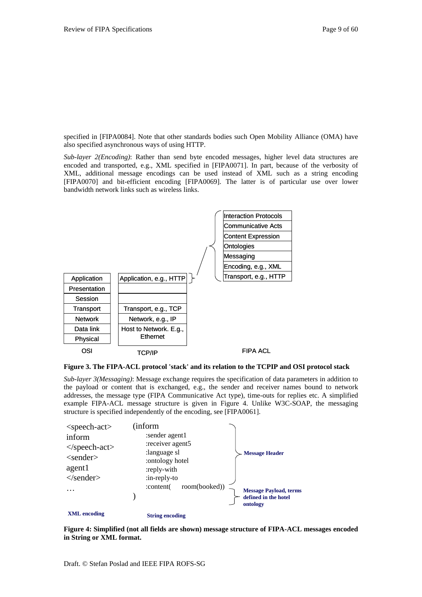specified in [FIPA0084]. Note that other standards bodies such Open Mobility Alliance (OMA) have also specified asynchronous ways of using HTTP.

*Sub-layer 2(Encoding)*: Rather than send byte encoded messages, higher level data structures are encoded and transported, e.g., XML specified in [FIPA0071]. In part, because of the verbosity of XML, additional message encodings can be used instead of XML such as a string encoding [FIPA0070] and bit-efficient encoding [FIPA0069]. The latter is of particular use over lower bandwidth network links such as wireless links.





*Sub-layer 3(Messaging)*: Message exchange requires the specification of data parameters in addition to the payload or content that is exchanged, e.g., the sender and receiver names bound to network addresses, the message type (FIPA Communicative Act type), time-outs for replies etc. A simplified example FIPA-ACL message structure is given in Figure 4. Unlike W3C-SOAP, the messaging structure is specified independently of the encoding, see [FIPA0061].

| $<$ speech-act $>$<br>inform<br><br>$<$ sender $>$<br>agent1<br>$\langle$ /sender> | (inform<br>:sender agent1<br>:receiver agent5<br>:language sl<br>:ontology hotel<br>:reply-with<br>$:$ in-reply-to | <b>Message Header</b>                                             |
|------------------------------------------------------------------------------------|--------------------------------------------------------------------------------------------------------------------|-------------------------------------------------------------------|
|                                                                                    | room(booked))<br>:content(                                                                                         | <b>Message Payload, terms</b><br>defined in the hotel<br>ontology |
| <b>XML</b> encoding                                                                | <b>String encoding</b>                                                                                             |                                                                   |

#### **Figure 4: Simplified (not all fields are shown) message structure of FIPA-ACL messages encoded in String or XML format.**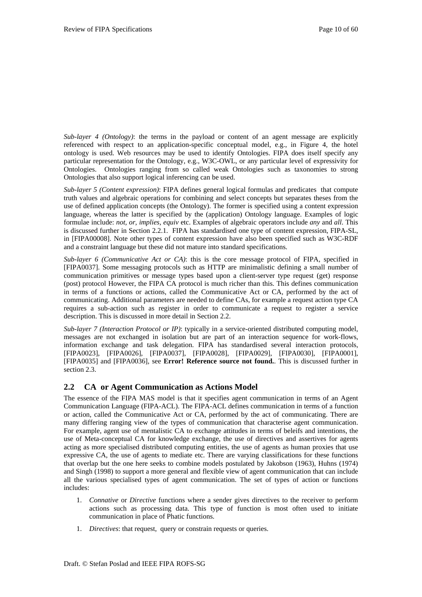*Sub-layer 4 (Ontology)*: the terms in the payload or content of an agent message are explicitly referenced with respect to an application-specific conceptual model, e.g., in Figure 4, the hotel ontology is used. Web resources may be used to identify Ontologies. FIPA does itself specify any particular representation for the Ontology, e.g., W3C-OWL, or any particular level of expressivity for Ontologies. Ontologies ranging from so called weak Ontologies such as taxonomies to strong Ontologies that also support logical inferencing can be used.

*Sub-layer 5 (Content expression)*: FIPA defines general logical formulas and predicates that compute truth values and algebraic operations for combining and select concepts but separates theses from the use of defined application concepts (the Ontology). The former is specified using a content expression language, whereas the latter is specified by the (application) Ontology language. Examples of logic formulae include: *not, or, implies, equiv* etc. Examples of algebraic operators include *any* and *all*. This is discussed further in Section 2.2.1. FIPA has standardised one type of content expression, FIPA-SL, in [FIPA00008]. Note other types of content expression have also been specified such as W3C-RDF and a constraint language but these did not mature into standard specifications.

*Sub-layer 6 (Communicative Act or CA)*: this is the core message protocol of FIPA, specified in [FIPA0037]. Some messaging protocols such as HTTP are minimalistic defining a small number of communication primitives or message types based upon a client-server type request (get) response (post) protocol However, the FIPA CA protocol is much richer than this. This defines communication in terms of a functions or actions, called the Communicative Act or CA, performed by the act of communicating. Additional parameters are needed to define CAs, for example a request action type CA requires a sub-action such as register in order to communicate a request to register a service description. This is discussed in more detail in Section 2.2.

*Sub-layer 7 (Interaction Protocol or IP)*: typically in a service-oriented distributed computing model, messages are not exchanged in isolation but are part of an interaction sequence for work-flows, information exchange and task delegation. FIPA has standardised several interaction protocols, [FIPA0023], [FIPA0026], [FIPA0037], [FIPA0028], [FIPA0029], [FIPA0030], [FIPA0001], [FIPA0035] and [FIPA0036], see **Error! Reference source not found.**. This is discussed further in section 2.3.

# **2.2 CA or Agent Communication as Actions Model**

The essence of the FIPA MAS model is that it specifies agent communication in terms of an Agent Communication Language (FIPA-ACL). The FIPA-ACL defines communication in terms of a function or action, called the Communicative Act or CA, performed by the act of communicating. There are many differing ranging view of the types of communication that characterise agent communication. For example, agent use of mentalistic CA to exchange attitudes in terms of beleifs and intentions, the use of Meta-conceptual CA for knowledge exchange, the use of directives and assertives for agents acting as more specialised distributed computing entities, the use of agents as human proxies that use expressive CA, the use of agents to mediate etc. There are varying classifications for these functions that overlap but the one here seeks to combine models postulated by Jakobson (1963), Huhns (1974) and Singh (1998) to support a more general and flexible view of agent communication that can include all the various specialised types of agent communication. The set of types of action or functions includes:

- 1. *Connative* or *Directive* functions where a sender gives directives to the receiver to perform actions such as processing data. This type of function is most often used to initiate communication in place of Phatic functions.
- 1. *Directives*: that request, query or constrain requests or queries.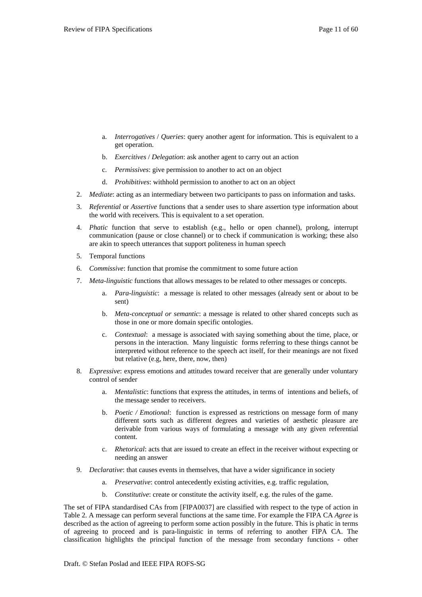- a. *Interrogatives* / *Queries*: query another agent for information. This is equivalent to a get operation.
- b. *Exercitives* / *Delegation*: ask another agent to carry out an action
- c. *Permissives*: give permission to another to act on an object
- d. *Prohibitives*: withhold permission to another to act on an object
- 2. *Mediate*: acting as an intermediary between two participants to pass on information and tasks.
- 3. *Referential* or *Assertive* functions that a sender uses to share assertion type information about the world with receivers. This is equivalent to a set operation.
- 4. *Phatic* function that serve to establish (e.g., hello or open channel), prolong, interrupt communication (pause or close channel) or to check if communication is working; these also are akin to speech utterances that support politeness in human speech
- 5. Temporal functions
- 6. *Commissive*: function that promise the commitment to some future action
- 7. *Meta-linguistic* functions that allows messages to be related to other messages or concepts.
	- a. *Para-linguistic*: a message is related to other messages (already sent or about to be sent)
	- b. *Meta-conceptual or semantic*: a message is related to other shared concepts such as those in one or more domain specific ontologies.
	- c. *Contextual*: a message is associated with saying something about the time, place, or persons in the interaction. Many linguistic forms referring to these things cannot be interpreted without reference to the speech act itself, for their meanings are not fixed but relative (e.g, here, there, now, then)
- 8. *Expressive*: express emotions and attitudes toward receiver that are generally under voluntary control of sender
	- a. *Mentalistic*: functions that express the attitudes, in terms of intentions and beliefs, of the message sender to receivers.
	- b. *Poetic / Emotional*: function is expressed as restrictions on message form of many different sorts such as different degrees and varieties of aesthetic pleasure are derivable from various ways of formulating a message with any given referential content.
	- c. *Rhetorical*: acts that are issued to create an effect in the receiver without expecting or needing an answer
- 9. *Declarative*: that causes events in themselves, that have a wider significance in society
	- a. *Preservative*: control antecedently existing activities, e.g. traffic regulation,
	- b. *Constitutive*: create or constitute the activity itself, e.g. the rules of the game.

The set of FIPA standardised CAs from [FIPA0037] are classified with respect to the type of action in Table 2. A message can perform several functions at the same time. For example the FIPA CA *Agree* is described as the action of agreeing to perform some action possibly in the future. This is phatic in terms of agreeing to proceed and is para-linguistic in terms of referring to another FIPA CA. The classification highlights the principal function of the message from secondary functions - other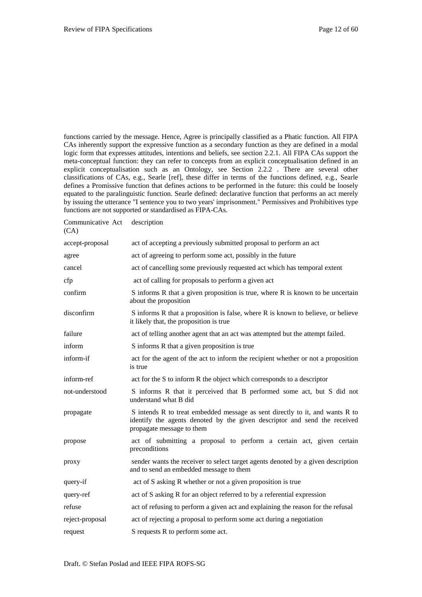functions carried by the message. Hence, Agree is principally classified as a Phatic function. All FIPA CAs inherently support the expressive function as a secondary function as they are defined in a modal logic form that expresses attitudes, intentions and beliefs, see section 2.2.1. All FIPA CAs support the meta-conceptual function: they can refer to concepts from an explicit conceptualisation defined in an explicit conceptualisation such as an Ontology, see Section 2.2.2 . There are several other classifications of CAs, e.g., Searle [ref], these differ in terms of the functions defined, e.g., Searle defines a Promissive function that defines actions to be performed in the future: this could be loosely equated to the paralinguistic function. Searle defined: declarative function that performs an act merely by issuing the utterance "I sentence you to two years' imprisonment." Permissives and Prohibitives type functions are not supported or standardised as FIPA-CAs.

Communicative Act description  $(CA)$ 

| accept-proposal | act of accepting a previously submitted proposal to perform an act                                                                                                                     |
|-----------------|----------------------------------------------------------------------------------------------------------------------------------------------------------------------------------------|
| agree           | act of agreeing to perform some act, possibly in the future                                                                                                                            |
| cancel          | act of cancelling some previously requested act which has temporal extent                                                                                                              |
| cfp             | act of calling for proposals to perform a given act                                                                                                                                    |
| confirm         | S informs R that a given proposition is true, where R is known to be uncertain<br>about the proposition                                                                                |
| disconfirm      | S informs R that a proposition is false, where R is known to believe, or believe<br>it likely that, the proposition is true                                                            |
| failure         | act of telling another agent that an act was attempted but the attempt failed.                                                                                                         |
| inform          | S informs R that a given proposition is true.                                                                                                                                          |
| inform-if       | act for the agent of the act to inform the recipient whether or not a proposition<br>is true                                                                                           |
| inform-ref      | act for the S to inform R the object which corresponds to a descriptor                                                                                                                 |
| not-understood  | S informs R that it perceived that B performed some act, but S did not<br>understand what B did                                                                                        |
| propagate       | S intends R to treat embedded message as sent directly to it, and wants R to<br>identify the agents denoted by the given descriptor and send the received<br>propagate message to them |
| propose         | act of submitting a proposal to perform a certain act, given certain<br>preconditions                                                                                                  |
| proxy           | sender wants the receiver to select target agents denoted by a given description<br>and to send an embedded message to them                                                            |
| query-if        | act of S asking R whether or not a given proposition is true                                                                                                                           |
| query-ref       | act of S asking R for an object referred to by a referential expression                                                                                                                |
| refuse          | act of refusing to perform a given act and explaining the reason for the refusal                                                                                                       |
| reject-proposal | act of rejecting a proposal to perform some act during a negotiation                                                                                                                   |
| request         | S requests R to perform some act.                                                                                                                                                      |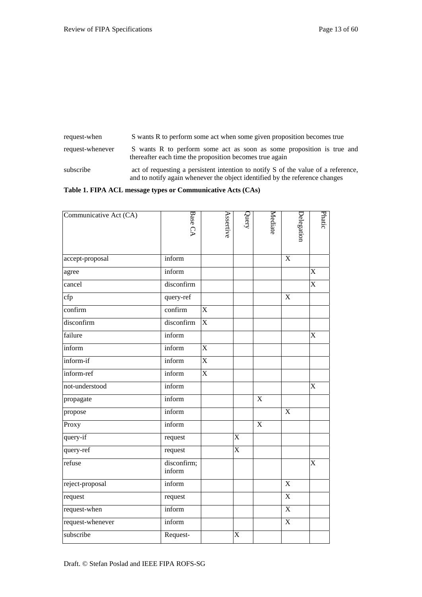| request-when     | S wants R to perform some act when some given proposition becomes true                                                                                           |  |
|------------------|------------------------------------------------------------------------------------------------------------------------------------------------------------------|--|
| request-whenever | S wants R to perform some act as soon as some proposition is true and<br>thereafter each time the proposition becomes true again                                 |  |
| subscribe        | act of requesting a persistent intention to notify S of the value of a reference,<br>and to notify again whenever the object identified by the reference changes |  |

# **Table 1. FIPA ACL message types or Communicative Acts (CAs)**

| Communicative Act (CA) | Base CA               |                       | Assertive | Query                   | Mediate        |                         | Delegation | Phatic                |
|------------------------|-----------------------|-----------------------|-----------|-------------------------|----------------|-------------------------|------------|-----------------------|
| accept-proposal        | inform                |                       |           |                         |                | $\mathbf X$             |            |                       |
| agree                  | inform                |                       |           |                         |                |                         |            | $\overline{\text{X}}$ |
| cancel                 | disconfirm            |                       |           |                         |                |                         |            | $\overline{\text{X}}$ |
| cfp                    | query-ref             |                       |           |                         |                | $\overline{\mathbf{X}}$ |            |                       |
| confirm                | confirm               | $\overline{\text{X}}$ |           |                         |                |                         |            |                       |
| disconfirm             | disconfirm            | $\overline{X}$        |           |                         |                |                         |            |                       |
| failure                | inform                |                       |           |                         |                |                         |            | $\overline{\text{X}}$ |
| inform                 | inform                | $\overline{\text{X}}$ |           |                         |                |                         |            |                       |
| inform-if              | inform                | $\overline{\text{X}}$ |           |                         |                |                         |            |                       |
| inform-ref             | inform                | $\overline{X}$        |           |                         |                |                         |            |                       |
| not-understood         | inform                |                       |           |                         |                |                         |            | $\overline{\text{X}}$ |
| propagate              | inform                |                       |           |                         | $\overline{X}$ |                         |            |                       |
| propose                | inform                |                       |           |                         |                | $\mathbf X$             |            |                       |
| Proxy                  | inform                |                       |           |                         | $\mathbf X$    |                         |            |                       |
| query-if               | request               |                       |           | $\overline{\mathrm{X}}$ |                |                         |            |                       |
| query-ref              | request               |                       |           | $\overline{X}$          |                |                         |            |                       |
| refuse                 | disconfirm;<br>inform |                       |           |                         |                |                         |            | $\overline{\text{X}}$ |
| reject-proposal        | inform                |                       |           |                         |                | $\overline{\text{X}}$   |            |                       |
| request                | request               |                       |           |                         |                | $\overline{\mathbf{X}}$ |            |                       |
| request-when           | inform                |                       |           |                         |                | $\overline{\mathbf{X}}$ |            |                       |
| request-whenever       | inform                |                       |           |                         |                | $\mathbf X$             |            |                       |
| subscribe              | Request-              |                       |           | $\overline{\text{X}}$   |                |                         |            |                       |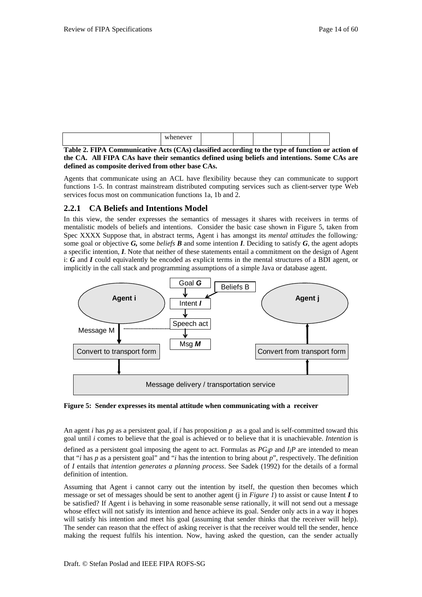**Table 2. FIPA Communicative Acts (CAs) classified according to the type of function or action of the CA. All FIPA CAs have their semantics defined using beliefs and intentions. Some CAs are defined as composite derived from other base CAs.** 

Agents that communicate using an ACL have flexibility because they can communicate to support functions 1-5. In contrast mainstream distributed computing services such as client-server type Web services focus most on communication functions 1a, 1b and 2.

### **2.2.1 CA Beliefs and Intentions Model**

In this view, the sender expresses the semantics of messages it shares with receivers in terms of mentalistic models of beliefs and intentions. Consider the basic case shown in Figure 5, taken from Spec XXXX Suppose that, in abstract terms, Agent i has amongst its *mental attitudes* the following*:*  some goal or objective *G,* some *beliefs B* and some intention *I*. Deciding to satisfy *G*, the agent adopts a specific intention, *I*. Note that neither of these statements entail a commitment on the design of Agent i: *G* and *I* could equivalently be encoded as explicit terms in the mental structures of a BDI agent, or implicitly in the call stack and programming assumptions of a simple Java or database agent.



**Figure 5: Sender expresses its mental attitude when communicating with a receiver** 

An agent *i* has *pg* as a persistent goal, if *i* has proposition *p* as a goal and is self-committed toward this goal until *i* comes to believe that the goal is achieved or to believe that it is unachievable. *Intention* is

defined as a persistent goal imposing the agent to act. Formulas as *PGip* and *IiP* are intended to mean that "*i* has *p* as a persistent goal" and "*i* has the intention to bring about *p*", respectively. The definition of *I* entails that *intention generates a planning process*. See Sadek (1992) for the details of a formal definition of intention.

Assuming that Agent i cannot carry out the intention by itself, the question then becomes which message or set of messages should be sent to another agent (j in *Figure 1*) to assist or cause Intent *I* to be satisfied? If Agent i is behaving in some reasonable sense rationally, it will not send out a message whose effect will not satisfy its intention and hence achieve its goal. Sender only acts in a way it hopes will satisfy his intention and meet his goal (assuming that sender thinks that the receiver will help). The sender can reason that the effect of asking receiver is that the receiver would tell the sender, hence making the request fulfils his intention. Now, having asked the question, can the sender actually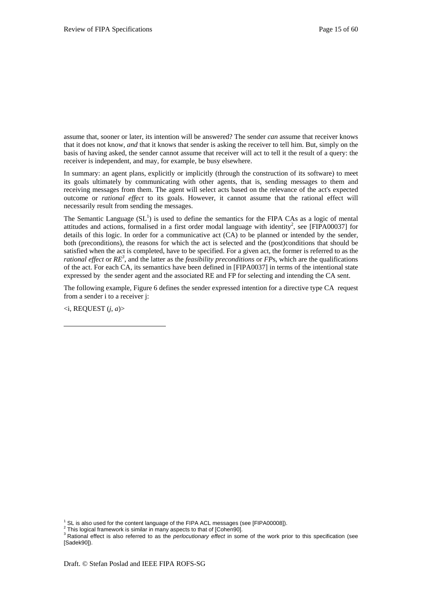assume that, sooner or later, its intention will be answered? The sender *can* assume that receiver knows that it does not know, *and* that it knows that sender is asking the receiver to tell him. But, simply on the basis of having asked, the sender cannot assume that receiver will act to tell it the result of a query: the receiver is independent, and may, for example, be busy elsewhere.

In summary: an agent plans, explicitly or implicitly (through the construction of its software) to meet its goals ultimately by communicating with other agents, that is, sending messages to them and receiving messages from them. The agent will select acts based on the relevance of the act's expected outcome or *rational effect* to its goals. However, it cannot assume that the rational effect will necessarily result from sending the messages.

The Semantic Language  $(SL<sup>1</sup>)$  is used to define the semantics for the FIPA CAs as a logic of mental attitudes and actions, formalised in a first order modal language with identity<sup>2</sup>, see [FIPA00037] for details of this logic. In order for a communicative act (CA) to be planned or intended by the sender, both (preconditions), the reasons for which the act is selected and the (post)conditions that should be satisfied when the act is completed, have to be specified. For a given act, the former is referred to as the *rational effect* or  $RE^3$ , and the latter as the *feasibility preconditions* or *FPs*, which are the qualifications of the act. For each CA, its semantics have been defined in [FIPA0037] in terms of the intentional state expressed by the sender agent and the associated RE and FP for selecting and intending the CA sent.

The following example, Figure 6 defines the sender expressed intention for a directive type CA request from a sender i to a receiver j:

 $\langle$ **i**, REQUEST  $(i, a)$ 

-

<sup>1</sup> SL is also used for the content language of the FIPA ACL messages (see [FIPA00008]).<br><sup>2</sup> This lagical framework is similar in many concete to that of [Cohen00]

 $\frac{2}{3}$  This logical framework is similar in many aspects to that of [Cohen90].<br>3 Botional offect is also referred to se the perlequitiency offect is some

<sup>3</sup> Rational effect is also referred to as the *perlocutionary effect* in some of the work prior to this specification (see [Sadek90]).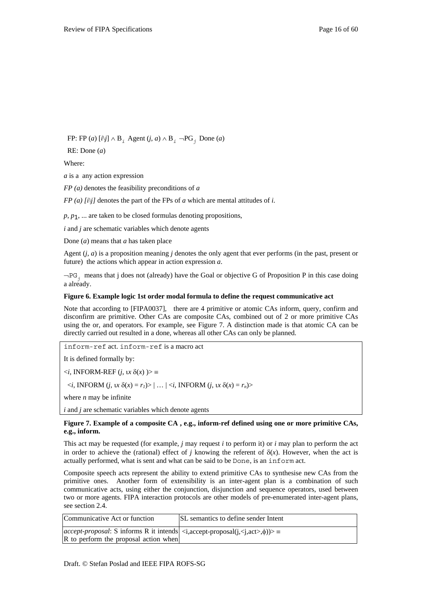FP: FP (*a*)  $[i\text{y}] \wedge B$ , Agent (*j*, *a*)  $\wedge B$ ,  $\neg PG$ , Done (*a*)

RE: Done (*a*)

Where:

*a* is a any action expression

*FP (a)* denotes the feasibility preconditions of *a*

*FP (a) [i\j]* denotes the part of the FPs of *a* which are mental attitudes of *i*.

*p*, *p*1, ... are taken to be closed formulas denoting propositions,

*i* and *j* are schematic variables which denote agents

Done (*a*) means that *a* has taken place

Agent (*j*, *a*) is a proposition meaning *j* denotes the only agent that ever performs (in the past, present or future) the actions which appear in action expression *a*.

 $\neg$ PG<sub>j</sub> means that j does not (already) have the Goal or objective G of Proposition P in this case doing a already.

#### **Figure 6. Example logic 1st order modal formula to define the request communicative act**

Note that according to [FIPA0037], there are 4 primitive or atomic CAs inform, query, confirm and disconfirm are primitive. Other CAs are composite CAs, combined out of 2 or more primitive CAs using the or, and operators. For example, see Figure 7. A distinction made is that atomic CA can be directly carried out resulted in a done, whereas all other CAs can only be planned.

inform-ref act. inform-ref is a macro act

It is defined formally by:

*, INFORM-REF*  $(i, \alpha \delta(x))$  *>*  $\equiv$ 

 $\langle i, \text{INFORM } (i, \text{ or } \delta(x) = r_1) \rangle \mid \dots \mid \langle i, \text{INFORM } (i, \text{ or } \delta(x) = r_n) \rangle$ 

where *n* may be infinite

*i* and *j* are schematic variables which denote agents

#### **Figure 7. Example of a composite CA , e.g., inform-ref defined using one or more primitive CAs, e.g., inform.**

This act may be requested (for example, *j* may request *i* to perform it) or *i* may plan to perform the act in order to achieve the (rational) effect of *j* knowing the referent of  $\delta(x)$ . However, when the act is actually performed, what is sent and what can be said to be Done, is an inform act.

Composite speech acts represent the ability to extend primitive CAs to synthesise new CAs from the primitive ones. Another form of extensibility is an inter-agent plan is a combination of such communicative acts, using either the conjunction, disjunction and sequence operators, used between two or more agents. FIPA interaction protocols are other models of pre-enumerated inter-agent plans, see section 2.4.

| Communicative Act or function                                                                                                                                           | SL semantics to define sender Intent |
|-------------------------------------------------------------------------------------------------------------------------------------------------------------------------|--------------------------------------|
| $ accept\text{-}proposal$ : S informs R it intends $\langle$ i, accept-proposal $(i,\langle i, \text{act} \rangle, \phi)$ )> =<br>R to perform the proposal action when |                                      |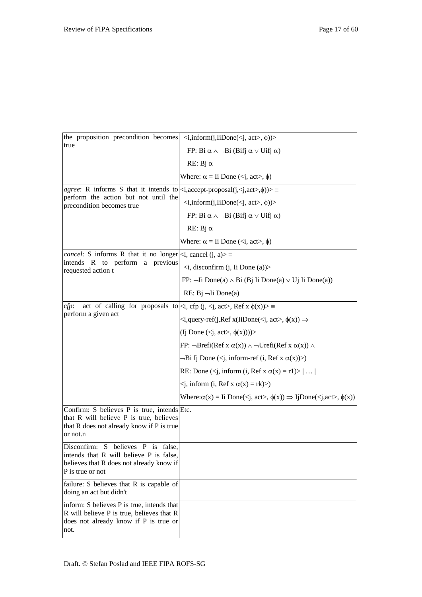| the proposition precondition becomes                                                                                                            | $\langle i, \text{inform}(j, \text{liDone}(\langle i, \text{act}\rangle, \phi)) \rangle$                                                     |  |  |  |
|-------------------------------------------------------------------------------------------------------------------------------------------------|----------------------------------------------------------------------------------------------------------------------------------------------|--|--|--|
| true                                                                                                                                            | FP: Bi $\alpha \wedge \neg Bi$ (Bifj $\alpha \vee \text{Uifj }\alpha$ )                                                                      |  |  |  |
|                                                                                                                                                 | RE: Bj $\alpha$                                                                                                                              |  |  |  |
|                                                                                                                                                 | Where: $\alpha$ = Ii Done ( <j, act="">, <math>\phi</math>)</j,>                                                                             |  |  |  |
| <i>agree</i> : R informs S that it intends to $\langle$ i, accept-proposal(j, $\langle$ j, act $\rangle$ , $\phi$ )) $\rangle \equiv$           |                                                                                                                                              |  |  |  |
| perform the action but not until the<br>precondition becomes true                                                                               | $\langle i, \text{inform}(j, \text{liDone}(\langle j, \text{act}\rangle, \phi)) \rangle$                                                     |  |  |  |
|                                                                                                                                                 | FP: Bi $\alpha \wedge \neg Bi$ (Bifj $\alpha \vee U$ ifj $\alpha$ )                                                                          |  |  |  |
|                                                                                                                                                 | RE: Bj $\alpha$                                                                                                                              |  |  |  |
|                                                                                                                                                 | Where: $\alpha$ = Ii Done ( <i, act="">, <math>\phi</math>)</i,>                                                                             |  |  |  |
| <i>cancel</i> : S informs R that it no longer   $\langle i, \text{cancel}(j, a) \rangle$ =                                                      |                                                                                                                                              |  |  |  |
| intends R to perform a previous<br>requested action t                                                                                           | $\langle i,$ disconfirm (j, Ii Done (a))                                                                                                     |  |  |  |
|                                                                                                                                                 | FP: $\neg$ Ii Done(a) $\land$ Bi (Bj Ii Done(a) $\lor$ Uj Ii Done(a))                                                                        |  |  |  |
|                                                                                                                                                 | RE: $Bj$ - Ii Done(a)                                                                                                                        |  |  |  |
| act of calling for proposals to $\langle i, cfp (i, \langle i, act \rangle, Ref x \phi(x)) \rangle$ =<br>$cfp$ :<br>perform a given act         |                                                                                                                                              |  |  |  |
|                                                                                                                                                 | $\langle$ i, query-ref(j, Ref x(IiDone( $\langle$ j, act $\rangle$ , $\phi$ (x)) $\Rightarrow$                                               |  |  |  |
|                                                                                                                                                 | (Ij Done $(\le j, \text{act}>, \phi(x)))$ )                                                                                                  |  |  |  |
|                                                                                                                                                 | FP: $\neg Brefi(Ref x \alpha(x)) \land \neg Urefi(Ref x \alpha(x)) \land$                                                                    |  |  |  |
|                                                                                                                                                 | $\neg Bi$ Ij Done ( <j, (i,="" <math="" inform-ref="" ref="" x="">\alpha(x))&gt;)</j,>                                                       |  |  |  |
|                                                                                                                                                 | RE: Done ( <j, (i,="" <math="" inform="" ref="" x="">\alpha(x) = r1)&gt;   </j,>                                                             |  |  |  |
|                                                                                                                                                 | $\langle$ j, inform (i, Ref x $\alpha(x) =$ rk $)$ >)                                                                                        |  |  |  |
|                                                                                                                                                 | Where: $\alpha(x)$ = Ii Done( <j, act="">, <math>\phi(x)</math>) <math>\Rightarrow</math> IjDone(<j,act>, <math>\phi(x)</math>)</j,act></j,> |  |  |  |
| Confirm: S believes P is true, intends Etc.<br>that R will believe P is true, believes<br>that R does not already know if P is true<br>or not.n |                                                                                                                                              |  |  |  |
| Disconfirm: S believes P is false,<br>intends that R will believe P is false,<br>believes that R does not already know if<br>P is true or not   |                                                                                                                                              |  |  |  |
| failure: S believes that R is capable of<br>doing an act but didn't                                                                             |                                                                                                                                              |  |  |  |
| inform: S believes P is true, intends that<br>R will believe P is true, believes that R<br>does not already know if P is true or<br>not.        |                                                                                                                                              |  |  |  |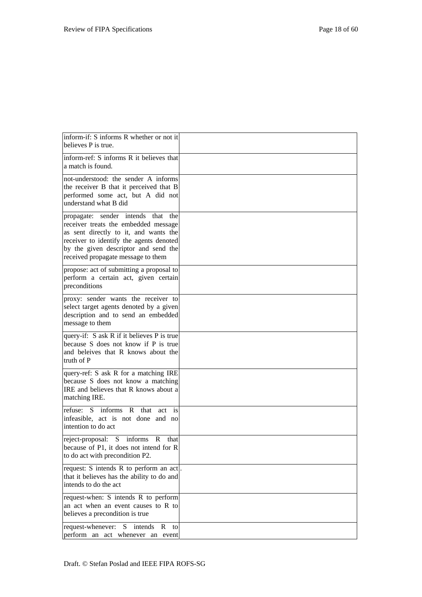| inform-if: S informs R whether or not it<br>believes P is true.                                                                                                                                                                              |  |
|----------------------------------------------------------------------------------------------------------------------------------------------------------------------------------------------------------------------------------------------|--|
| inform-ref: S informs R it believes that<br>a match is found.                                                                                                                                                                                |  |
| not-understood: the sender A informs<br>the receiver B that it perceived that B<br>performed some act, but A did not<br>understand what B did                                                                                                |  |
| propagate: sender intends that the<br>receiver treats the embedded message<br>as sent directly to it, and wants the<br>receiver to identify the agents denoted<br>by the given descriptor and send the<br>received propagate message to them |  |
| propose: act of submitting a proposal to<br>perform a certain act, given certain<br>preconditions                                                                                                                                            |  |
| proxy: sender wants the receiver to<br>select target agents denoted by a given<br>description and to send an embedded<br>message to them                                                                                                     |  |
| query-if: S ask R if it believes P is true<br>because S does not know if P is true<br>and beleives that R knows about the<br>truth of P                                                                                                      |  |
| query-ref: S ask R for a matching IRE<br>because S does not know a matching<br>IRE and believes that R knows about a<br>matching IRE.                                                                                                        |  |
| refuse: S informs R that act is<br>infeasible, act is not done and no<br>intention to do act                                                                                                                                                 |  |
| reject-proposal: S informs R<br>that<br>because of P1, it does not intend for R<br>to do act with precondition P2.                                                                                                                           |  |
| request: S intends R to perform an act.<br>that it believes has the ability to do and<br>intends to do the act                                                                                                                               |  |
| request-when: S intends R to perform<br>an act when an event causes to R to<br>believes a precondition is true                                                                                                                               |  |
| request-whenever:<br>S intends<br>R<br>to<br>perform an act whenever an event                                                                                                                                                                |  |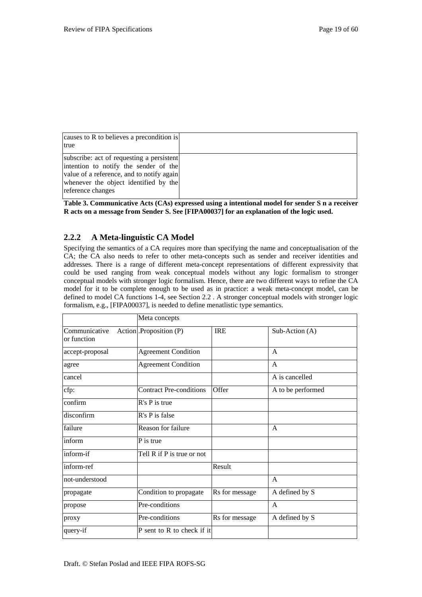| causes to R to believes a precondition is<br>true                                                                                                                                             |  |
|-----------------------------------------------------------------------------------------------------------------------------------------------------------------------------------------------|--|
| subscribe: act of requesting a persistent<br>intention to notify the sender of the<br>value of a reference, and to notify again<br>whenever the object identified by the<br>reference changes |  |

**Table 3. Communicative Acts (CAs) expressed using a intentional model for sender S n a receiver R acts on a message from Sender S. See [FIPA00037] for an explanation of the logic used.** 

# **2.2.2 A Meta-linguistic CA Model**

Specifying the semantics of a CA requires more than specifying the name and conceptualisation of the CA; the CA also needs to refer to other meta-concepts such as sender and receiver identities and addresses. There is a range of different meta-concept representations of different expressivity that could be used ranging from weak conceptual models without any logic formalism to stronger conceptual models with stronger logic formalism. Hence, there are two different ways to refine the CA model for it to be complete enough to be used as in practice: a weak meta-concept model, can be defined to model CA functions 1-4, see Section 2.2 . A stronger conceptual models with stronger logic formalism, e.g., [FIPA00037], is needed to define menatlistic type semantics.

|                              | Meta concepts                  |                                  |                   |  |  |  |  |
|------------------------------|--------------------------------|----------------------------------|-------------------|--|--|--|--|
| Communicative<br>or function | Action Proposition (P)         | <b>IRE</b>                       | Sub-Action (A)    |  |  |  |  |
| accept-proposal              | <b>Agreement Condition</b>     |                                  | A                 |  |  |  |  |
| agree                        | <b>Agreement Condition</b>     |                                  | $\overline{A}$    |  |  |  |  |
| cancel                       |                                |                                  | A is cancelled    |  |  |  |  |
| cfp:                         | <b>Contract Pre-conditions</b> | Offer                            | A to be performed |  |  |  |  |
| confirm                      | $R's P$ is true                |                                  |                   |  |  |  |  |
| disconfirm                   | R's P is false                 |                                  |                   |  |  |  |  |
| failure                      | Reason for failure             |                                  | A                 |  |  |  |  |
| inform                       | P is true                      |                                  |                   |  |  |  |  |
| inform-if                    | Tell R if P is true or not     |                                  |                   |  |  |  |  |
| inform-ref                   |                                | Result                           |                   |  |  |  |  |
| not-understood               |                                |                                  | $\overline{A}$    |  |  |  |  |
| propagate                    | Condition to propagate         | Rs for message                   | A defined by S    |  |  |  |  |
| propose                      | Pre-conditions                 |                                  | A                 |  |  |  |  |
| proxy                        | Pre-conditions                 | Rs for message<br>A defined by S |                   |  |  |  |  |
| query-if                     | P sent to R to check if it     |                                  |                   |  |  |  |  |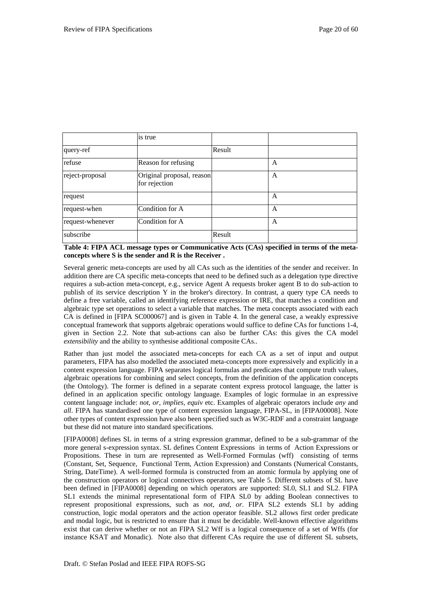|                  | is true                                    |        |   |
|------------------|--------------------------------------------|--------|---|
| query-ref        |                                            | Result |   |
| refuse           | Reason for refusing                        |        | A |
| reject-proposal  | Original proposal, reason<br>for rejection |        | A |
| request          |                                            |        | A |
| request-when     | Condition for A                            |        | A |
| request-whenever | Condition for A                            |        | A |
| subscribe        |                                            | Result |   |

**Table 4: FIPA ACL message types or Communicative Acts (CAs) specified in terms of the metaconcepts where S is the sender and R is the Receiver .** 

Several generic meta-concepts are used by all CAs such as the identities of the sender and receiver. In addition there are CA specific meta-concepts that need to be defined such as a delegation type directive requires a sub-action meta-concept, e.g., service Agent A requests broker agent B to do sub-action to publish of its service description Y in the broker's directory. In contrast, a query type CA needs to define a free variable, called an identifying reference expression or IRE, that matches a condition and algebraic type set operations to select a variable that matches. The meta concepts associated with each CA is defined in [FIPA SC000067] and is given in Table 4. In the general case, a weakly expressive conceptual framework that supports algebraic operations would suffice to define CAs for functions 1-4, given in Section 2.2. Note that sub-actions can also be further CAs: this gives the CA model *extensibility* and the ability to synthesise additional composite CAs..

Rather than just model the associated meta-concepts for each CA as a set of input and output parameters, FIPA has also modelled the associated meta-concepts more expressively and explicitly in a content expression language. FIPA separates logical formulas and predicates that compute truth values, algebraic operations for combining and select concepts, from the definition of the application concepts (the Ontology). The former is defined in a separate content express protocol language, the latter is defined in an application specific ontology language. Examples of logic formulae in an expressive content language include: *not, or, implies, equiv* etc. Examples of algebraic operators include *any* and *all*. FIPA has standardised one type of content expression language, FIPA-SL, in [FIPA00008]. Note other types of content expression have also been specified such as W3C-RDF and a constraint language but these did not mature into standard specifications.

[FIPA0008] defines SL in terms of a string expression grammar, defined to be a sub-grammar of the more general s-expression syntax. SL defines Content Expressions in terms of Action Expressions or Propositions. These in turn are represented as Well-Formed Formulas (wff) consisting of terms (Constant, Set, Sequence, Functional Term, Action Expression) and Constants (Numerical Constants, String, DateTime). A well-formed formula is constructed from an atomic formula by applying one of the construction operators or logical connectives operators, see Table 5. Different subsets of SL have been defined in [FIPA0008] depending on which operators are supported: SL0, SL1 and SL2. FIPA SL1 extends the minimal representational form of FIPA SL0 by adding Boolean connectives to represent propositional expressions, such as *not*, *and*, *or*. FIPA SL2 extends SL1 by adding construction, logic modal operators and the action operator feasible. SL2 allows first order predicate and modal logic, but is restricted to ensure that it must be decidable. Well-known effective algorithms exist that can derive whether or not an FIPA SL2 Wff is a logical consequence of a set of Wffs (for instance KSAT and Monadic). Note also that different CAs require the use of different SL subsets,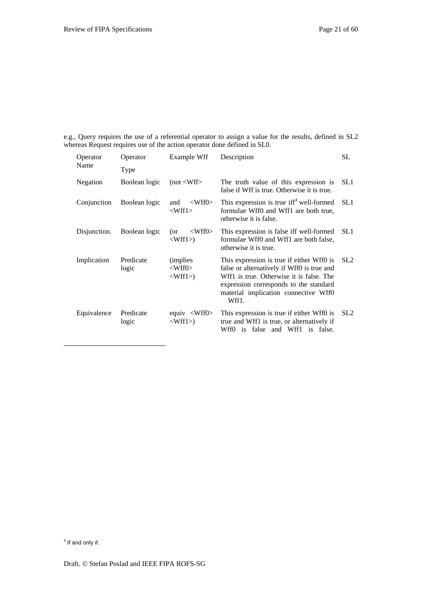e.g., Query requires the use of a referential operator to assign a value for the results, defined in SL2 whereas Request requires use of the action operator done defined in SL0.

| Operator     | Operator           | Example Wff                                                           | Description                                                                                                                                                                                                                    | <b>SL</b>       |
|--------------|--------------------|-----------------------------------------------------------------------|--------------------------------------------------------------------------------------------------------------------------------------------------------------------------------------------------------------------------------|-----------------|
| Name         | Type               |                                                                       |                                                                                                                                                                                                                                |                 |
| Negation     | Boolean logic      | (not <wff></wff>                                                      | The truth value of this expression is<br>false if Wff is true. Otherwise it is true.                                                                                                                                           | SL <sub>1</sub> |
| Conjunction  | Boolean logic      | $<\!\!Wff0\!\!>$<br>and<br>$<$ Wff1 $>$                               | This expression is true iff <sup>4</sup> well-formed<br>formulae Wff0 and Wff1 are both true,<br>otherwise it is false.                                                                                                        | SL <sub>1</sub> |
| Disjunction. | Boolean logic      | $<\!\!Wff0\!\!>$<br>(or<br>$\langle Wff1\rangle$                      | This expression is false iff well-formed<br>formulae Wff0 and Wff1 are both false,<br>otherwise it is true.                                                                                                                    | SL1             |
| Implication  | Predicate<br>logic | <i>(implies)</i><br>$<\!\!Wff0\!\!>$<br>$\langle \text{Wff1} \rangle$ | This expression is true if either Wff0 is<br>false or alternatively if Wff0 is true and<br>Wff1 is true. Otherwise it is false. The<br>expression corresponds to the standard<br>material implication connective Wff0<br>Wff1. | SL <sub>2</sub> |
| Equivalence  | Predicate<br>logic | equiv $\langle Wff0 \rangle$<br>$\langle Wff1\rangle$                 | This expression is true if either Wff0 is<br>true and Wff1 is true, or alternatively if<br>Wff0 is false and Wff1 is false.                                                                                                    | SL <sub>2</sub> |

<sup>4</sup> If and only if.

-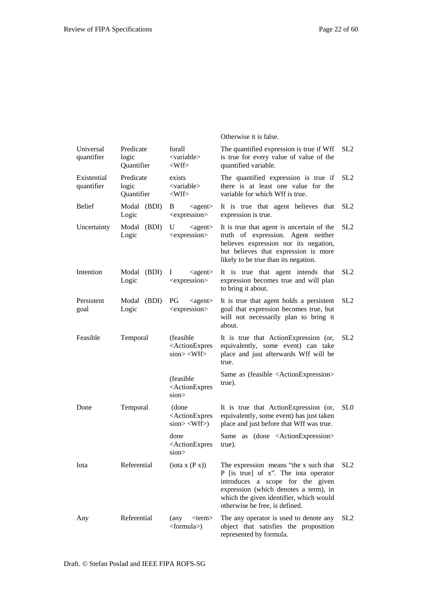| Universal<br>quantifier   | Predicate<br>logic<br>Quantifier | forall<br>$\langle$ variable $\rangle$<br>$<$ Wff $>$                                          | The quantified expression is true if Wff<br>is true for every value of value of the<br>quantified variable.                                                                                                                                | SL <sub>2</sub> |
|---------------------------|----------------------------------|------------------------------------------------------------------------------------------------|--------------------------------------------------------------------------------------------------------------------------------------------------------------------------------------------------------------------------------------------|-----------------|
| Existential<br>quantifier | Predicate<br>logic<br>Quantifier | exists<br><variable><br/><math>&lt;</math>Wff<math>&gt;</math></variable>                      | The quantified expression is true if<br>there is at least one value for the<br>variable for which Wff is true.                                                                                                                             | SL2             |
| <b>Belief</b>             | Modal<br>(BDI)<br>Logic          | B<br>$\alpha$ gent $\triangleright$<br><expression></expression>                               | It is true that agent believes that<br>expression is true.                                                                                                                                                                                 | SL <sub>2</sub> |
| Uncertainty               | Modal (BDI)<br>Logic             | U<br>$\alpha$ gent $>$<br><expression></expression>                                            | It is true that agent is uncertain of the<br>truth of expression. Agent neither<br>believes expression nor its negation,<br>but believes that expression is more<br>likely to be true than its negation.                                   | SL <sub>2</sub> |
| Intention                 | Modal<br>(BDI)<br>Logic          | $\bf{l}$<br>$\alpha$ gent $>$<br><expression></expression>                                     | It is true that agent intends that<br>expression becomes true and will plan<br>to bring it about.                                                                                                                                          | SL <sub>2</sub> |
| Persistent<br>goal        | Modal<br>(BDI)<br>Logic          | PG<br>$<$ agent $>$<br><expression></expression>                                               | It is true that agent holds a persistent<br>goal that expression becomes true, but<br>will not necessarily plan to bring it<br>about.                                                                                                      | SL2             |
| Feasible                  | Temporal                         | (feasible<br><actionexpres<br><math>sion</math> <math>\lt Wff</math></actionexpres<br>         | It is true that ActionExpression (or,<br>equivalently, some event) can take<br>place and just afterwards Wff will be<br>true.                                                                                                              | SL <sub>2</sub> |
|                           |                                  | (feasible<br><actionexpres<br>sion</actionexpres<br>                                           | Same as (feasible <actionexpression><br/>true).</actionexpression>                                                                                                                                                                         |                 |
| Done                      | Temporal                         | (done<br><actionexpres<br><math>sion</math> <math>\langle Wff \rangle</math></actionexpres<br> | It is true that ActionExpression (or,<br>equivalently, some event) has just taken<br>place and just before that Wff was true.                                                                                                              | SL <sub>0</sub> |
|                           |                                  | done<br><actionexpres<br>sion</actionexpres<br>                                                | Same as (done <actionexpression><br/>true).</actionexpression>                                                                                                                                                                             |                 |
| Iota                      | Referential                      | (iota x (P x))                                                                                 | The expression means "the x such that<br>P [is true] of $x$ ". The iota operator<br>introduces a scope for the given<br>expression (which denotes a term), in<br>which the given identifier, which would<br>otherwise be free, is defined. | SL <sub>2</sub> |
| Any                       | Referential                      | (any<br>$<$ term $>$<br><formula>)</formula>                                                   | The any operator is used to denote any<br>object that satisfies the proposition<br>represented by formula.                                                                                                                                 | SL <sub>2</sub> |

Otherwise it is false.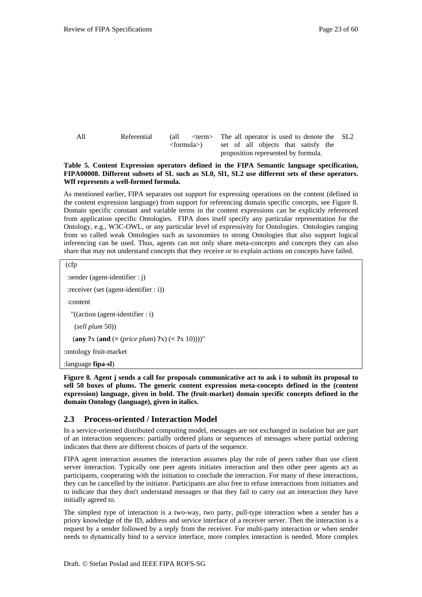| All | Referential | (all | $\epsilon$ $\epsilon$ The all operator is used to denote the SL2 |  |                                     |  |  |
|-----|-------------|------|------------------------------------------------------------------|--|-------------------------------------|--|--|
|     |             |      | <formula>)</formula>                                             |  | set of all objects that satisfy the |  |  |
|     |             |      |                                                                  |  | proposition represented by formula. |  |  |

#### **Table 5. Content Expression operators defined in the FIPA Semantic language specification, FIPA00008. Different subsets of SL such as SL0, Sl1, SL2 use different sets of these operators. Wff represents a well-formed formula.**

As mentioned earlier, FIPA separates out support for expressing operations on the content (defined in the content expression language) from support for referencing domain specific concepts, see Figure 8. Domain specific constant and variable terms in the content expressions can be explicitly referenced from application specific Ontologies. FIPA does itself specify any particular representation for the Ontology, e.g., W3C-OWL, or any particular level of expressivity for Ontologies. Ontologies ranging from so called weak Ontologies such as taxonomies to strong Ontologies that also support logical inferencing can be used. Thus, agents can not only share meta-concepts and concepts they can also share that may not understand concepts that they receive or to explain actions on concepts have failed.

(cfp

```
 :sender (agent-identifier : j) 
  :receiver (set (agent-identifier : i)) 
  :content 
    "((action (agent-identifier : i) 
     (sell plum 50)) 
   (\text{any } ?x \text{ (and } (= (price \text{ plum}) ?x) \text{ (} < 2x \text{ 10)})))'':ontology fruit-market 
:language fipa-sl)
```
**Figure 8. Agent j sends a call for proposals communicative act to ask i to submit its proposal to sell 50 boxes of plums. The generic content expression meta-concepts defined in the (content expression) language, given in bold. The (fruit-market) domain specific concepts defined in the domain Ontology (language), given in italics.** 

#### **2.3 Process-oriented / Interaction Model**

In a service-oriented distributed computing model, messages are not exchanged in isolation but are part of an interaction sequences: partially ordered plans or sequences of messages where partial ordering indicates that there are different choices of parts of the sequence.

FIPA agent interaction assumes the interaction assumes play the role of peers rather than use client server interaction. Typically one peer agents initiates interaction and then other peer agents act as participants, cooperating with the initiation to conclude the interaction. For many of these interactions, they can be cancelled by the initiator. Participants are also free to refuse interactions from initiators and to indicate that they don't understand messages or that they fail to carry out an interaction they have initially agreed to.

The simplest type of interaction is a two-way, two party, pull-type interaction when a sender has a priory knowledge of the ID, address and service interface of a receiver server. Then the interaction is a request by a sender followed by a reply from the receiver. For multi-party interaction or when sender needs to dynamically bind to a service interface, more complex interaction is needed. More complex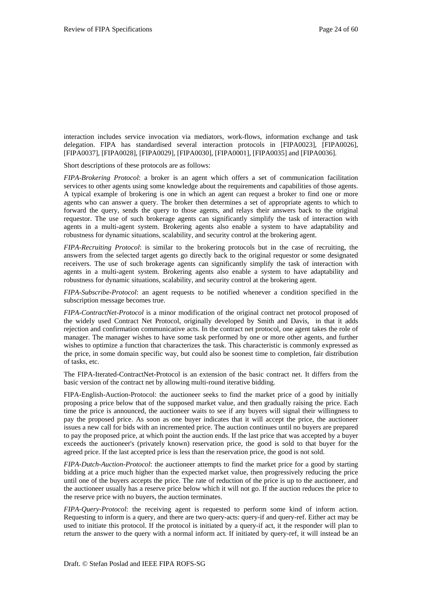interaction includes service invocation via mediators, work-flows, information exchange and task delegation. FIPA has standardised several interaction protocols in [FIPA0023], [FIPA0026], [FIPA0037], [FIPA0028], [FIPA0029], [FIPA0030], [FIPA0001], [FIPA0035] and [FIPA0036].

Short descriptions of these protocols are as follows:

*FIPA-Brokering Protocol*: a broker is an agent which offers a set of communication facilitation services to other agents using some knowledge about the requirements and capabilities of those agents. A typical example of brokering is one in which an agent can request a broker to find one or more agents who can answer a query. The broker then determines a set of appropriate agents to which to forward the query, sends the query to those agents, and relays their answers back to the original requestor. The use of such brokerage agents can significantly simplify the task of interaction with agents in a multi-agent system. Brokering agents also enable a system to have adaptability and robustness for dynamic situations, scalability, and security control at the brokering agent.

*FIPA-Recruiting Protocol*: is similar to the brokering protocols but in the case of recruiting, the answers from the selected target agents go directly back to the original requestor or some designated receivers. The use of such brokerage agents can significantly simplify the task of interaction with agents in a multi-agent system. Brokering agents also enable a system to have adaptability and robustness for dynamic situations, scalability, and security control at the brokering agent.

*FIPA-Subscribe-Protocol*: an agent requests to be notified whenever a condition specified in the subscription message becomes true.

*FIPA-ContractNet-Protocol* is a minor modification of the original contract net protocol proposed of the widely used Contract Net Protocol, originally developed by Smith and Davis, in that it adds rejection and confirmation communicative acts. In the contract net protocol, one agent takes the role of manager. The manager wishes to have some task performed by one or more other agents, and further wishes to optimize a function that characterizes the task. This characteristic is commonly expressed as the price, in some domain specific way, but could also be soonest time to completion, fair distribution of tasks, etc.

The FIPA-Iterated-ContractNet-Protocol is an extension of the basic contract net. It differs from the basic version of the contract net by allowing multi-round iterative bidding.

FIPA-English-Auction-Protocol: the auctioneer seeks to find the market price of a good by initially proposing a price below that of the supposed market value, and then gradually raising the price. Each time the price is announced, the auctioneer waits to see if any buyers will signal their willingness to pay the proposed price. As soon as one buyer indicates that it will accept the price, the auctioneer issues a new call for bids with an incremented price. The auction continues until no buyers are prepared to pay the proposed price, at which point the auction ends. If the last price that was accepted by a buyer exceeds the auctioneer's (privately known) reservation price, the good is sold to that buyer for the agreed price. If the last accepted price is less than the reservation price, the good is not sold.

*FIPA-Dutch-Auction-Protocol*: the auctioneer attempts to find the market price for a good by starting bidding at a price much higher than the expected market value, then progressively reducing the price until one of the buyers accepts the price. The rate of reduction of the price is up to the auctioneer, and the auctioneer usually has a reserve price below which it will not go. If the auction reduces the price to the reserve price with no buyers, the auction terminates.

*FIPA-Query-Protocol*: the receiving agent is requested to perform some kind of inform action. Requesting to inform is a query, and there are two query-acts: query-if and query-ref. Either act may be used to initiate this protocol. If the protocol is initiated by a query-if act, it the responder will plan to return the answer to the query with a normal inform act. If initiated by query-ref, it will instead be an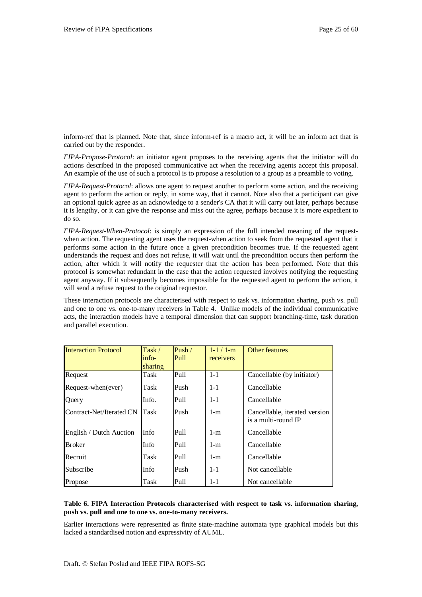inform-ref that is planned. Note that, since inform-ref is a macro act, it will be an inform act that is carried out by the responder.

*FIPA-Propose-Protocol*: an initiator agent proposes to the receiving agents that the initiator will do actions described in the proposed communicative act when the receiving agents accept this proposal. An example of the use of such a protocol is to propose a resolution to a group as a preamble to voting.

*FIPA-Request-Protocol*: allows one agent to request another to perform some action, and the receiving agent to perform the action or reply, in some way, that it cannot. Note also that a participant can give an optional quick agree as an acknowledge to a sender's CA that it will carry out later, perhaps because it is lengthy, or it can give the response and miss out the agree, perhaps because it is more expedient to do so.

*FIPA-Request-When-Protocol*: is simply an expression of the full intended meaning of the requestwhen action. The requesting agent uses the request-when action to seek from the requested agent that it performs some action in the future once a given precondition becomes true. If the requested agent understands the request and does not refuse, it will wait until the precondition occurs then perform the action, after which it will notify the requester that the action has been performed. Note that this protocol is somewhat redundant in the case that the action requested involves notifying the requesting agent anyway. If it subsequently becomes impossible for the requested agent to perform the action, it will send a refuse request to the original requestor.

These interaction protocols are characterised with respect to task vs. information sharing, push vs. pull and one to one vs. one-to-many receivers in Table 4. Unlike models of the individual communicative acts, the interaction models have a temporal dimension that can support branching-time, task duration and parallel execution.

| <b>Interaction Protocol</b> | Task $\overline{ }$<br>$info-$ | Push $\angle$<br>Pull | $1 - 1 / 1 - m$<br>receivers | <b>Other features</b>                                |
|-----------------------------|--------------------------------|-----------------------|------------------------------|------------------------------------------------------|
|                             | sharing                        |                       |                              |                                                      |
| Request                     | Task                           | Pull                  | $1 - 1$                      | Cancellable (by initiator)                           |
| Request-when(ever)          | Task                           | Push                  | $1 - 1$                      | Cancellable                                          |
| Query                       | Info.                          | Pull                  | $1 - 1$                      | Cancellable                                          |
| Contract-Net/Iterated CN    | Task                           | Push                  | $1-m$                        | Cancellable, iterated version<br>is a multi-round IP |
| English / Dutch Auction     | Info                           | Pull                  | $1-m$                        | Cancellable                                          |
| <b>Broker</b>               | Info                           | Pull                  | $1-m$                        | Cancellable                                          |
| <b>Recruit</b>              | Task                           | Pull                  | $1-m$                        | Cancellable                                          |
| Subscribe                   | Info                           | Push                  | $1 - 1$                      | Not cancellable                                      |
| Propose                     | Task                           | Pull                  | $1 - 1$                      | Not cancellable                                      |

#### **Table 6. FIPA Interaction Protocols characterised with respect to task vs. information sharing, push vs. pull and one to one vs. one-to-many receivers.**

Earlier interactions were represented as finite state-machine automata type graphical models but this lacked a standardised notion and expressivity of AUML.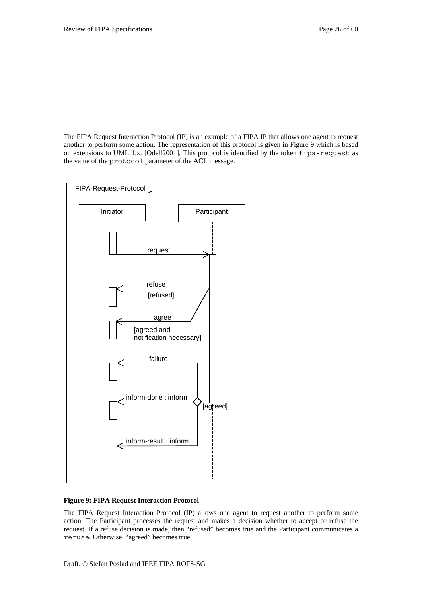The FIPA Request Interaction Protocol (IP) is an example of a FIPA IP that allows one agent to request another to perform some action. The representation of this protocol is given in Figure 9 which is based on extensions to UML 1.x. [Odell2001]. This protocol is identified by the token fipa-request as the value of the protocol parameter of the ACL message.



#### **Figure 9: FIPA Request Interaction Protocol**

The FIPA Request Interaction Protocol (IP) allows one agent to request another to perform some action. The Participant processes the request and makes a decision whether to accept or refuse the request. If a refuse decision is made, then "refused" becomes true and the Participant communicates a refuse. Otherwise, "agreed" becomes true.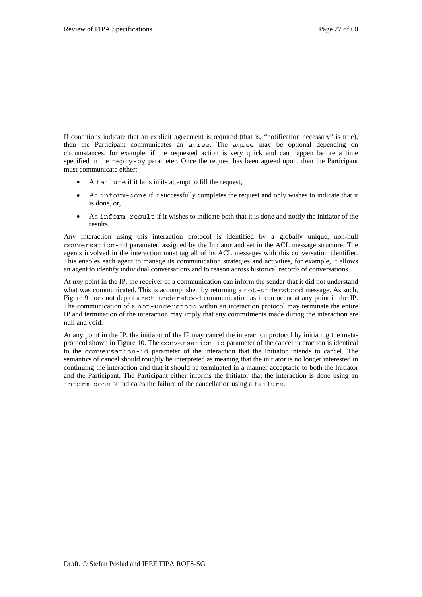If conditions indicate that an explicit agreement is required (that is, "notification necessary" is true), then the Participant communicates an agree. The agree may be optional depending on circumstances, for example, if the requested action is very quick and can happen before a time specified in the reply-by parameter. Once the request has been agreed upon, then the Participant must communicate either:

- A failure if it fails in its attempt to fill the request,
- An inform-done if it successfully completes the request and only wishes to indicate that it is done, or,
- An inform-result if it wishes to indicate both that it is done and notify the initiator of the results.

Any interaction using this interaction protocol is identified by a globally unique, non-null conversation-id parameter, assigned by the Initiator and set in the ACL message structure. The agents involved in the interaction must tag all of its ACL messages with this conversation identifier. This enables each agent to manage its communication strategies and activities, for example, it allows an agent to identify individual conversations and to reason across historical records of conversations.

At *any* point in the IP, the receiver of a communication can inform the sender that it did not understand what was communicated. This is accomplished by returning a not-understood message. As such, Figure 9 does not depict a not-understood communication as it can occur at any point in the IP. The communication of a not-understood within an interaction protocol may terminate the entire IP and termination of the interaction may imply that any commitments made during the interaction are null and void.

At any point in the IP, the initiator of the IP may cancel the interaction protocol by initiating the metaprotocol shown in Figure 10. The conversation-id parameter of the cancel interaction is identical to the conversation-id parameter of the interaction that the Initiator intends to cancel. The semantics of cancel should roughly be interpreted as meaning that the initiator is no longer interested in continuing the interaction and that it should be terminated in a manner acceptable to both the Initiator and the Participant. The Participant either informs the Initiator that the interaction is done using an inform-done or indicates the failure of the cancellation using a failure.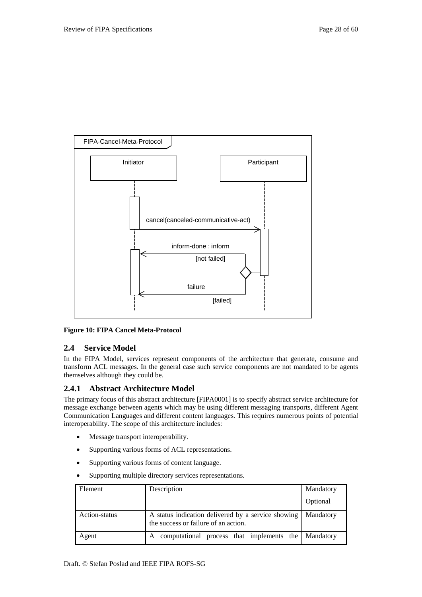

#### **Figure 10: FIPA Cancel Meta-Protocol**

#### **2.4 Service Model**

In the FIPA Model, services represent components of the architecture that generate, consume and transform ACL messages. In the general case such service components are not mandated to be agents themselves although they could be.

#### **2.4.1 Abstract Architecture Model**

The primary focus of this abstract architecture [FIPA0001] is to specify abstract service architecture for message exchange between agents which may be using different messaging transports, different Agent Communication Languages and different content languages. This requires numerous points of potential interoperability. The scope of this architecture includes:

- Message transport interoperability.
- Supporting various forms of ACL representations.
- Supporting various forms of content language.
- Supporting multiple directory services representations.

| Element       | Description                                                                                | Mandatory |
|---------------|--------------------------------------------------------------------------------------------|-----------|
|               |                                                                                            | Optional  |
| Action-status | A status indication delivered by a service showing<br>the success or failure of an action. | Mandatory |
| Agent         | computational process that implements the<br>A                                             | Mandatory |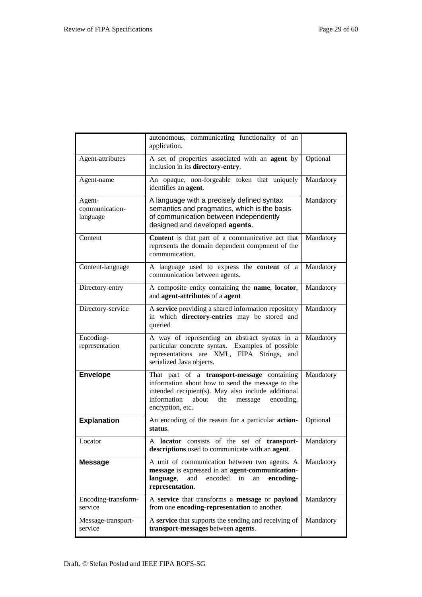|                                      | autonomous, communicating functionality of an<br>application.                                                                                                                                                                 |           |
|--------------------------------------|-------------------------------------------------------------------------------------------------------------------------------------------------------------------------------------------------------------------------------|-----------|
| Agent-attributes                     | A set of properties associated with an <b>agent</b> by<br>inclusion in its directory-entry.                                                                                                                                   | Optional  |
| Agent-name                           | An opaque, non-forgeable token that uniquely<br>identifies an agent.                                                                                                                                                          | Mandatory |
| Agent-<br>communication-<br>language | A language with a precisely defined syntax<br>semantics and pragmatics, which is the basis<br>of communication between independently<br>designed and developed agents.                                                        | Mandatory |
| Content                              | Content is that part of a communicative act that<br>represents the domain dependent component of the<br>communication.                                                                                                        | Mandatory |
| Content-language                     | A language used to express the content of a<br>communication between agents.                                                                                                                                                  | Mandatory |
| Directory-entry                      | A composite entity containing the name, locator,<br>and agent-attributes of a agent                                                                                                                                           | Mandatory |
| Directory-service                    | A service providing a shared information repository<br>in which directory-entries may be stored and<br>queried                                                                                                                | Mandatory |
| Encoding-<br>representation          | A way of representing an abstract syntax in a<br>particular concrete syntax. Examples of possible<br>representations are XML, FIPA Strings,<br>and<br>serialized Java objects.                                                | Mandatory |
| <b>Envelope</b>                      | That part of a transport-message containing<br>information about how to send the message to the<br>intended recipient(s). May also include additional<br>information<br>about the<br>message<br>encoding,<br>encryption, etc. | Mandatory |
| <b>Explanation</b>                   | An encoding of the reason for a particular action-<br>status.                                                                                                                                                                 | Optional  |
| Locator                              | A locator consists of the set of transport-<br>descriptions used to communicate with an agent.                                                                                                                                | Mandatory |
| <b>Message</b>                       | A unit of communication between two agents. A<br>message is expressed in an agent-communication-<br>language,<br>and<br>encoded<br>encoding-<br>in<br>an<br>representation.                                                   | Mandatory |
| Encoding-transform-<br>service       | A service that transforms a message or payload<br>from one encoding-representation to another.                                                                                                                                | Mandatory |
| Message-transport-<br>service        | A service that supports the sending and receiving of<br>transport-messages between agents.                                                                                                                                    | Mandatory |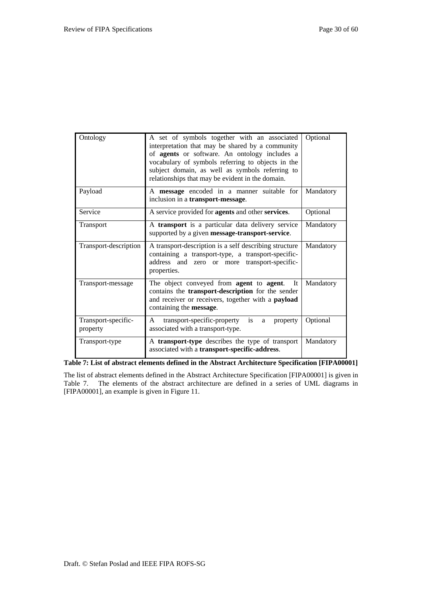| Ontology                        | A set of symbols together with an associated<br>interpretation that may be shared by a community<br>of agents or software. An ontology includes a<br>vocabulary of symbols referring to objects in the<br>subject domain, as well as symbols referring to<br>relationships that may be evident in the domain. | Optional  |
|---------------------------------|---------------------------------------------------------------------------------------------------------------------------------------------------------------------------------------------------------------------------------------------------------------------------------------------------------------|-----------|
| Payload                         | A message encoded in a manner suitable for<br>inclusion in a transport-message.                                                                                                                                                                                                                               | Mandatory |
| Service                         | A service provided for <b>agents</b> and other <b>services</b> .                                                                                                                                                                                                                                              | Optional  |
| Transport                       | A transport is a particular data delivery service<br>supported by a given message-transport-service.                                                                                                                                                                                                          | Mandatory |
| Transport-description           | A transport-description is a self describing structure<br>containing a transport-type, a transport-specific-<br>address and zero or more<br>transport-specific-<br>properties.                                                                                                                                | Mandatory |
| Transport-message               | The object conveyed from agent to agent.<br>It<br>contains the <b>transport-description</b> for the sender<br>and receiver or receivers, together with a <b>payload</b><br>containing the message.                                                                                                            | Mandatory |
| Transport-specific-<br>property | is<br>transport-specific-property<br>a<br>property<br>A<br>associated with a transport-type.                                                                                                                                                                                                                  | Optional  |
| Transport-type                  | A transport-type describes the type of transport<br>associated with a transport-specific-address.                                                                                                                                                                                                             | Mandatory |

**Table 7: List of abstract elements defined in the Abstract Architecture Specification [FIPA00001]** 

The list of abstract elements defined in the Abstract Architecture Specification [FIPA00001] is given in Table 7. The elements of the abstract architecture are defined in a series of UML diagrams in [FIPA00001], an example is given in Figure 11.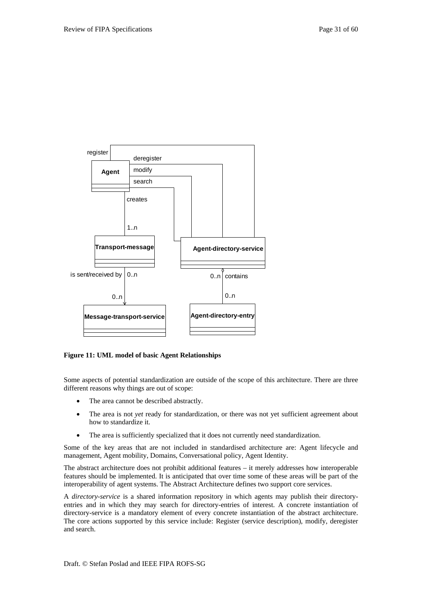

**Figure 11: UML model of basic Agent Relationships** 

Some aspects of potential standardization are outside of the scope of this architecture. There are three different reasons why things are out of scope:

- The area cannot be described abstractly.
- The area is not *yet* ready for standardization, or there was not yet sufficient agreement about how to standardize it.
- The area is sufficiently specialized that it does not currently need standardization.

Some of the key areas that are not included in standardised architecture are: Agent lifecycle and management, Agent mobility, Domains, Conversational policy, Agent Identity.

The abstract architecture does not prohibit additional features – it merely addresses how interoperable features should be implemented. It is anticipated that over time some of these areas will be part of the interoperability of agent systems. The Abstract Architecture defines two support core services.

A *directory-service* is a shared information repository in which agents may publish their directoryentries and in which they may search for directory-entries of interest. A concrete instantiation of directory-service is a mandatory element of every concrete instantiation of the abstract architecture. The core actions supported by this service include: Register (service description), modify, deregister and search.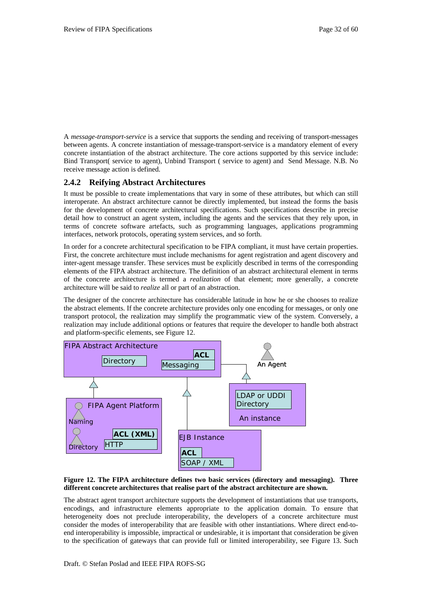A *message-transport-service* is a service that supports the sending and receiving of transport-messages between agents. A concrete instantiation of message-transport-service is a mandatory element of every concrete instantiation of the abstract architecture. The core actions supported by this service include: Bind Transport( service to agent), Unbind Transport ( service to agent) and Send Message. N.B. No receive message action is defined.

### **2.4.2 Reifying Abstract Architectures**

It must be possible to create implementations that vary in some of these attributes, but which can still interoperate. An abstract architecture cannot be directly implemented, but instead the forms the basis for the development of concrete architectural specifications. Such specifications describe in precise detail how to construct an agent system, including the agents and the services that they rely upon, in terms of concrete software artefacts, such as programming languages, applications programming interfaces, network protocols, operating system services, and so forth.

In order for a concrete architectural specification to be FIPA compliant, it must have certain properties. First, the concrete architecture must include mechanisms for agent registration and agent discovery and inter-agent message transfer. These services must be explicitly described in terms of the corresponding elements of the FIPA abstract architecture. The definition of an abstract architectural element in terms of the concrete architecture is termed a *realization* of that element; more generally, a concrete architecture will be said to *realize* all or part of an abstraction.

The designer of the concrete architecture has considerable latitude in how he or she chooses to realize the abstract elements. If the concrete architecture provides only one encoding for messages, or only one transport protocol, the realization may simplify the programmatic view of the system. Conversely, a realization may include additional options or features that require the developer to handle both abstract and platform-specific elements, see Figure 12.



**Figure 12. The FIPA architecture defines two basic services (directory and messaging). Three different concrete architectures that realise part of the abstract architecture are shown.** 

The abstract agent transport architecture supports the development of instantiations that use transports, encodings, and infrastructure elements appropriate to the application domain. To ensure that heterogeneity does not preclude interoperability, the developers of a concrete architecture must consider the modes of interoperability that are feasible with other instantiations. Where direct end-toend interoperability is impossible, impractical or undesirable, it is important that consideration be given to the specification of gateways that can provide full or limited interoperability, see Figure 13. Such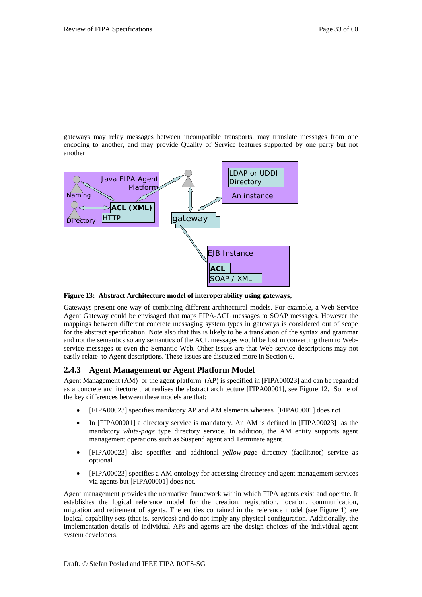gateways may relay messages between incompatible transports, may translate messages from one encoding to another, and may provide Quality of Service features supported by one party but not another.



**Figure 13: Abstract Architecture model of interoperability using gateways,** 

Gateways present one way of combining different architectural models. For example, a Web-Service Agent Gateway could be envisaged that maps FIPA-ACL messages to SOAP messages. However the mappings between different concrete messaging system types in gateways is considered out of scope for the abstract specification. Note also that this is likely to be a translation of the syntax and grammar and not the semantics so any semantics of the ACL messages would be lost in converting them to Webservice messages or even the Semantic Web. Other issues are that Web service descriptions may not easily relate to Agent descriptions. These issues are discussed more in Section 6.

# **2.4.3 Agent Management or Agent Platform Model**

Agent Management (AM) or the agent platform (AP) is specified in [FIPA00023] and can be regarded as a concrete architecture that realises the abstract architecture [FIPA00001], see Figure 12. Some of the key differences between these models are that:

- [FIPA00023] specifies mandatory AP and AM elements whereas [FIPA00001] does not
- In [FIPA00001] a directory service is mandatory. An AM is defined in [FIPA00023] as the mandatory *white-page* type directory service. In addition, the AM entity supports agent management operations such as Suspend agent and Terminate agent.
- [FIPA00023] also specifies and additional *yellow-page* directory (facilitator) service as optional
- [FIPA00023] specifies a AM ontology for accessing directory and agent management services via agents but [FIPA00001] does not.

Agent management provides the normative framework within which FIPA agents exist and operate. It establishes the logical reference model for the creation, registration, location, communication, migration and retirement of agents. The entities contained in the reference model (see Figure 1) are logical capability sets (that is, services) and do not imply any physical configuration. Additionally, the implementation details of individual APs and agents are the design choices of the individual agent system developers.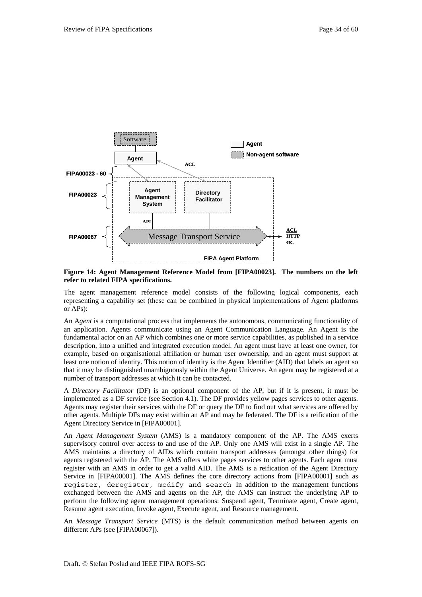

**Figure 14: Agent Management Reference Model from [FIPA00023]. The numbers on the left refer to related FIPA specifications.** 

The agent management reference model consists of the following logical components, each representing a capability set (these can be combined in physical implementations of Agent platforms or APs):

An A*gent* is a computational process that implements the autonomous, communicating functionality of an application. Agents communicate using an Agent Communication Language. An Agent is the fundamental actor on an AP which combines one or more service capabilities, as published in a service description, into a unified and integrated execution model. An agent must have at least one owner, for example, based on organisational affiliation or human user ownership, and an agent must support at least one notion of identity. This notion of identity is the Agent Identifier (AID) that labels an agent so that it may be distinguished unambiguously within the Agent Universe. An agent may be registered at a number of transport addresses at which it can be contacted.

A *Directory Facilitator* (DF) is an optional component of the AP, but if it is present, it must be implemented as a DF service (see Section 4.1). The DF provides yellow pages services to other agents. Agents may register their services with the DF or query the DF to find out what services are offered by other agents. Multiple DFs may exist within an AP and may be federated. The DF is a reification of the Agent Directory Service in [FIPA00001].

An *Agent Management System* (AMS) is a mandatory component of the AP. The AMS exerts supervisory control over access to and use of the AP. Only one AMS will exist in a single AP. The AMS maintains a directory of AIDs which contain transport addresses (amongst other things) for agents registered with the AP. The AMS offers white pages services to other agents. Each agent must register with an AMS in order to get a valid AID. The AMS is a reification of the Agent Directory Service in [FIPA00001]. The AMS defines the core directory actions from [FIPA00001] such as register, deregister, modify and search In addition to the management functions exchanged between the AMS and agents on the AP, the AMS can instruct the underlying AP to perform the following agent management operations: Suspend agent, Terminate agent, Create agent, Resume agent execution, Invoke agent, Execute agent, and Resource management.

An *Message Transport Service* (MTS) is the default communication method between agents on different APs (see [FIPA00067]).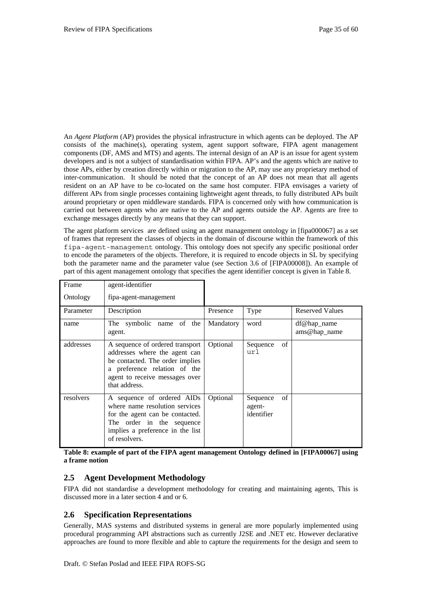An *Agent Platform* (AP) provides the physical infrastructure in which agents can be deployed. The AP consists of the machine(s), operating system, agent support software, FIPA agent management components (DF, AMS and MTS) and agents. The internal design of an AP is an issue for agent system developers and is not a subject of standardisation within FIPA. AP's and the agents which are native to those APs, either by creation directly within or migration to the AP, may use any proprietary method of inter-communication. It should be noted that the concept of an AP does not mean that all agents resident on an AP have to be co-located on the same host computer. FIPA envisages a variety of different APs from single processes containing lightweight agent threads, to fully distributed APs built around proprietary or open middleware standards. FIPA is concerned only with how communication is carried out between agents who are native to the AP and agents outside the AP. Agents are free to exchange messages directly by any means that they can support.

The agent platform services are defined using an agent management ontology in [fipa000067] as a set of frames that represent the classes of objects in the domain of discourse within the framework of this fipa-agent-management ontology. This ontology does not specify any specific positional order to encode the parameters of the objects. Therefore, it is required to encode objects in SL by specifying both the parameter name and the parameter value (see Section 3.6 of [FIPA00008]). An example of part of this agent management ontology that specifies the agent identifier concept is given in Table 8.

| Frame<br>Ontology | agent-identifier<br>fipa-agent-management                                                                                                                                              |           |                                        |                             |
|-------------------|----------------------------------------------------------------------------------------------------------------------------------------------------------------------------------------|-----------|----------------------------------------|-----------------------------|
|                   |                                                                                                                                                                                        |           |                                        |                             |
| Parameter         | Description                                                                                                                                                                            | Presence  | Type                                   | <b>Reserved Values</b>      |
| name              | The symbolic name of the<br>agent.                                                                                                                                                     | Mandatory | word                                   | df@hap name<br>ams@hap_name |
| addresses         | A sequence of ordered transport<br>addresses where the agent can<br>be contacted. The order implies<br>a preference relation of the<br>agent to receive messages over<br>that address. | Optional  | of<br>Sequence<br>url                  |                             |
| resolvers         | sequence of ordered AIDs<br>A<br>where name resolution services<br>for the agent can be contacted.<br>The order in the sequence<br>implies a preference in the list<br>of resolvers.   | Optional  | of<br>Sequence<br>agent-<br>identifier |                             |

**Table 8: example of part of the FIPA agent management Ontology defined in [FIPA00067] using a frame notion** 

# **2.5 Agent Development Methodology**

FIPA did not standardise a development methodology for creating and maintaining agents, This is discussed more in a later section 4 and or 6.

# **2.6 Specification Representations**

Generally, MAS systems and distributed systems in general are more popularly implemented using procedural programming API abstractions such as currently J2SE and .NET etc. However declarative approaches are found to more flexible and able to capture the requirements for the design and seem to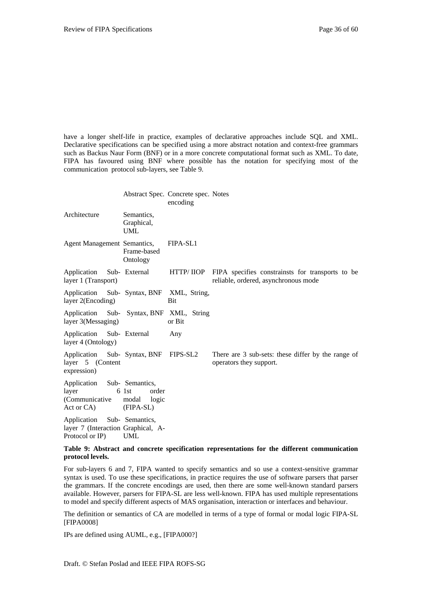have a longer shelf-life in practice, examples of declarative approaches include SQL and XML. Declarative specifications can be specified using a more abstract notation and context-free grammars such as Backus Naur Form (BNF) or in a more concrete computational format such as XML. To date, FIPA has favoured using BNF where possible has the notation for specifying most of the communication protocol sub-layers, see Table 9.

|                                                                          | Abstract Spec. Concrete spec. Notes             | encoding            |                                                                                                    |
|--------------------------------------------------------------------------|-------------------------------------------------|---------------------|----------------------------------------------------------------------------------------------------|
| Architecture                                                             | Semantics,<br>Graphical,<br><b>UML</b>          |                     |                                                                                                    |
| <b>Agent Management Semantics,</b>                                       | Frame-based<br>Ontology                         | FIPA-SL1            |                                                                                                    |
| Application<br>layer 1 (Transport)                                       | Sub- External                                   |                     | HTTP/IIOP FIPA specifies constrainsts for transports to be<br>reliable, ordered, asynchronous mode |
| Application Sub- Syntax, BNF<br>layer 2(Encoding)                        |                                                 | XML, String,<br>Bit |                                                                                                    |
| Application Sub- Syntax, BNF XML, String<br>layer 3(Messaging)           |                                                 | or Bit              |                                                                                                    |
| Application Sub-External<br>layer 4 (Ontology)                           |                                                 | Any                 |                                                                                                    |
| Application Sub- Syntax, BNF FIPS-SL2<br>layer 5 (Content<br>expression) |                                                 |                     | There are 3 sub-sets: these differ by the range of<br>operators they support.                      |
| Application Sub-Semantics,<br>laver<br>(Communicative<br>Act or CA)      | $6$ 1st<br>order<br>modal<br>logic<br>(FIPA-SL) |                     |                                                                                                    |
| Application<br>layer 7 (Interaction Graphical, A-<br>Protocol or IP)     | Sub-Semantics,<br><b>UML</b>                    |                     |                                                                                                    |

#### **Table 9: Abstract and concrete specification representations for the different communication protocol levels.**

For sub-layers 6 and 7, FIPA wanted to specify semantics and so use a context-sensitive grammar syntax is used. To use these specifications, in practice requires the use of software parsers that parser the grammars. If the concrete encodings are used, then there are some well-known standard parsers available. However, parsers for FIPA-SL are less well-known. FIPA has used multiple representations to model and specify different aspects of MAS organisation, interaction or interfaces and behaviour.

The definition or semantics of CA are modelled in terms of a type of formal or modal logic FIPA-SL [FIPA0008]

IPs are defined using AUML, e.g., [FIPA000?]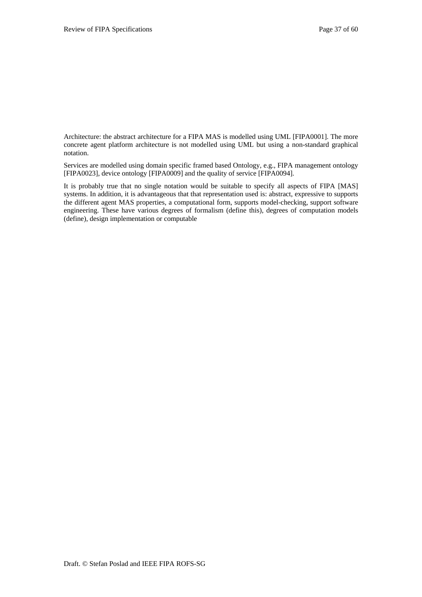Architecture: the abstract architecture for a FIPA MAS is modelled using UML [FIPA0001]. The more concrete agent platform architecture is not modelled using UML but using a non-standard graphical notation.

Services are modelled using domain specific framed based Ontology, e.g., FIPA management ontology [FIPA0023], device ontology [FIPA0009] and the quality of service [FIPA0094].

It is probably true that no single notation would be suitable to specify all aspects of FIPA [MAS] systems. In addition, it is advantageous that that representation used is: abstract, expressive to supports the different agent MAS properties, a computational form, supports model-checking, support software engineering. These have various degrees of formalism (define this), degrees of computation models (define), design implementation or computable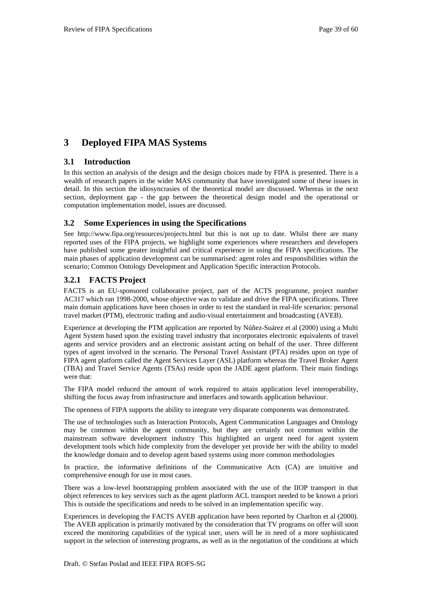# **3 Deployed FIPA MAS Systems**

# **3.1 Introduction**

In this section an analysis of the design and the design choices made by FIPA is presented. There is a wealth of research papers in the wider MAS community that have investigated some of these issues in detail. In this section the idiosyncrasies of the theoretical model are discussed. Whereas in the next section, deployment gap - the gap between the theoretical design model and the operational or computation implementation model, issues are discussed.

# **3.2 Some Experiences in using the Specifications**

See http://www.fipa.org/resources/projects.html but this is not up to date. Whilst there are many reported uses of the FIPA projects, we highlight some experiences where researchers and developers have published some greater insightful and critical experience in using the FIPA specifications. The main phases of application development can be summarised: agent roles and responsibilities within the scenario; Common Ontology Development and Application Specific interaction Protocols.

# **3.2.1 FACTS Project**

FACTS is an EU-sponsored collaborative project, part of the ACTS programme, project number AC317 which ran 1998-2000, whose objective was to validate and drive the FIPA specifications. Three main domain applications have been chosen in order to test the standard in real-life scenarios: personal travel market (PTM), electronic trading and audio-visual entertainment and broadcasting (AVEB).

Experience at developing the PTM application are reported by Núñez-Suárez et al (2000) using a Multi Agent System based upon the existing travel industry that incorporates electronic equivalents of travel agents and service providers and an electronic assistant acting on behalf of the user. Three different types of agent involved in the scenario. The Personal Travel Assistant (PTA) resides upon on type of FIPA agent platform called the Agent Services Layer (ASL) platform whereas the Travel Broker Agent (TBA) and Travel Service Agents (TSAs) reside upon the JADE agent platform. Their main findings were that:

The FIPA model reduced the amount of work required to attain application level interoperability, shifting the focus away from infrastructure and interfaces and towards application behaviour.

The openness of FIPA supports the ability to integrate very disparate components was demonstrated.

The use of technologies such as Interaction Protocols, Agent Communication Languages and Ontology may be common within the agent community, but they are certainly not common within the mainstream software development industry This highlighted an urgent need for agent system development tools which hide complexity from the developer yet provide her with the ability to model the knowledge domain and to develop agent based systems using more common methodologies

In practice, the informative definitions of the Communicative Acts (CA) are intuitive and comprehensive enough for use in most cases.

There was a low-level bootstrapping problem associated with the use of the IIOP transport in that object references to key services such as the agent platform ACL transport needed to be known a priori This is outside the specifications and needs to be solved in an implementation specific way.

Experiences in developing the FACTS AVEB application have been reported by Charlton et al (2000). The AVEB application is primarily motivated by the consideration that TV programs on offer will soon exceed the monitoring capabilities of the typical user, users will be in need of a more sophisticated support in the selection of interesting programs, as well as in the negotiation of the conditions at which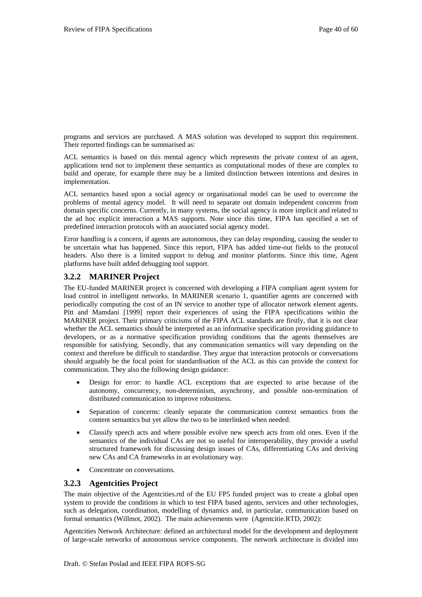programs and services are purchased. A MAS solution was developed to support this requirement. Their reported findings can be summarised as:

ACL semantics is based on this mental agency which represents the private context of an agent, applications tend not to implement these semantics as computational modes of these are complex to build and operate, for example there may be a limited distinction between intentions and desires in implementation.

ACL semantics based upon a social agency or organisational model can be used to overcome the problems of mental agency model. It will need to separate out domain independent concerns from domain specific concerns. Currently, in many systems, the social agency is more implicit and related to the ad hoc explicit interaction a MAS supports. Note since this time, FIPA has specified a set of predefined interaction protocols with an associated social agency model.

Error handling is a concern, if agents are autonomous, they can delay responding, causing the sender to be uncertain what has happened. Since this report, FIPA has added time-out fields to the protocol headers. Also there is a limited support to debug and monitor platforms. Since this time, Agent platforms have built added debugging tool support.

# **3.2.2 MARINER Project**

The EU-funded MARINER project is concerned with developing a FIPA compliant agent system for load control in intelligent networks. In MARINER scenario 1, quantifier agents are concerned with periodically computing the cost of an IN service to another type of allocator network element agents. Pitt and Mamdani [1999] report their experiences of using the FIPA specifications within the MARINER project. Their primary criticisms of the FIPA ACL standards are firstly, that it is not clear whether the ACL semantics should be interpreted as an informative specification providing guidance to developers, or as a normative specification providing conditions that the agents themselves are responsible for satisfying. Secondly, that any communication semantics will vary depending on the context and therefore be difficult to standardise. They argue that interaction protocols or conversations should arguably be the focal point for standardisation of the ACL as this can provide the context for communication. They also the following design guidance:

- Design for error: to handle ACL exceptions that are expected to arise because of the autonomy, concurrency, non-determinism, asynchrony, and possible non-termination of distributed communication to improve robustness.
- Separation of concerns: cleanly separate the communication context semantics from the content semantics but yet allow the two to be interlinked when needed.
- Classify speech acts and where possible evolve new speech acts from old ones. Even if the semantics of the individual CAs are not so useful for interoperability, they provide a useful structured framework for discussing design issues of CAs, differentiating CAs and deriving new CAs and CA frameworks in an evolutionary way.
- Concentrate on conversations.

# **3.2.3 Agentcities Project**

The main objective of the Agentcities.rtd of the EU FP5 funded project was to create a global open system to provide the conditions in which to test FIPA based agents, services and other technologies, such as delegation, coordination, modelling of dynamics and, in particular, communication based on formal semantics (Willmot, 2002). The main achievements were (Agentcitie.RTD, 2002):

Agentcities Network Architecture: defined an architectural model for the development and deployment of large-scale networks of autonomous service components. The network architecture is divided into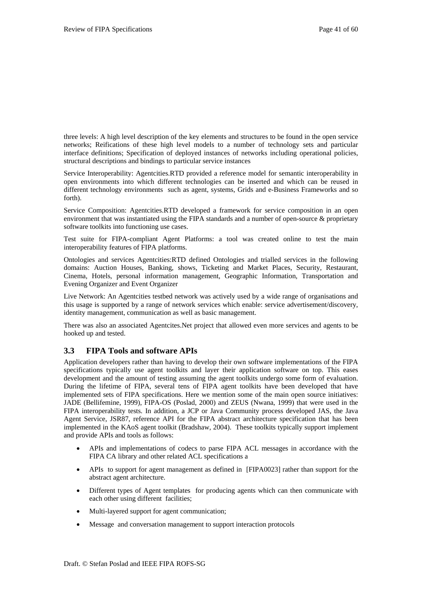three levels: A high level description of the key elements and structures to be found in the open service networks; Reifications of these high level models to a number of technology sets and particular interface definitions; Specification of deployed instances of networks including operational policies, structural descriptions and bindings to particular service instances

Service Interoperability: Agentcities.RTD provided a reference model for semantic interoperability in open environments into which different technologies can be inserted and which can be reused in different technology environments such as agent, systems, Grids and e-Business Frameworks and so forth).

Service Composition: Agentcities.RTD developed a framework for service composition in an open environment that was instantiated using the FIPA standards and a number of open-source & proprietary software toolkits into functioning use cases.

Test suite for FIPA-compliant Agent Platforms: a tool was created online to test the main interoperability features of FIPA platforms.

Ontologies and services Agentcities:RTD defined Ontologies and trialled services in the following domains: Auction Houses, Banking, shows, Ticketing and Market Places, Security, Restaurant, Cinema, Hotels, personal information management, Geographic Information, Transportation and Evening Organizer and Event Organizer

Live Network: An Agentcities testbed network was actively used by a wide range of organisations and this usage is supported by a range of network services which enable: service advertisement/discovery, identity management, communication as well as basic management.

There was also an associated Agentcites.Net project that allowed even more services and agents to be hooked up and tested.

# **3.3 FIPA Tools and software APIs**

Application developers rather than having to develop their own software implementations of the FIPA specifications typically use agent toolkits and layer their application software on top. This eases development and the amount of testing assuming the agent toolkits undergo some form of evaluation. During the lifetime of FIPA, several tens of FIPA agent toolkits have been developed that have implemented sets of FIPA specifications. Here we mention some of the main open source initiatives: JADE (Bellifemine, 1999), FIPA-OS (Poslad, 2000) and ZEUS (Nwana, 1999) that were used in the FIPA interoperability tests. In addition, a JCP or Java Community process developed JAS, the Java Agent Service, JSR87, reference API for the FIPA abstract architecture specification that has been implemented in the KAoS agent toolkit (Bradshaw, 2004). These toolkits typically support implement and provide APIs and tools as follows:

- APIs and implementations of codecs to parse FIPA ACL messages in accordance with the FIPA CA library and other related ACL specifications a
- APIs to support for agent management as defined in [FIPA0023] rather than support for the abstract agent architecture.
- Different types of Agent templates for producing agents which can then communicate with each other using different facilities;
- Multi-layered support for agent communication;
- Message and conversation management to support interaction protocols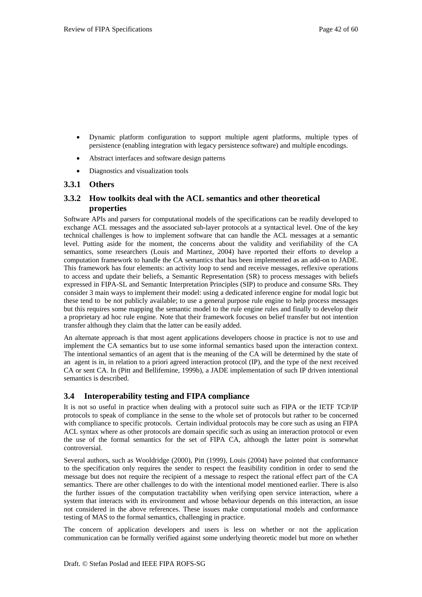- Dynamic platform configuration to support multiple agent platforms, multiple types of persistence (enabling integration with legacy persistence software) and multiple encodings.
- Abstract interfaces and software design patterns
- Diagnostics and visualization tools

### **3.3.1 Others**

### **3.3.2 How toolkits deal with the ACL semantics and other theoretical properties**

Software APIs and parsers for computational models of the specifications can be readily developed to exchange ACL messages and the associated sub-layer protocols at a syntactical level. One of the key technical challenges is how to implement software that can handle the ACL messages at a semantic level. Putting aside for the moment, the concerns about the validity and verifiability of the CA semantics, some researchers (Louis and Martinez, 2004) have reported their efforts to develop a computation framework to handle the CA semantics that has been implemented as an add-on to JADE. This framework has four elements: an activity loop to send and receive messages, reflexive operations to access and update their beliefs, a Semantic Representation (SR) to process messages with beliefs expressed in FIPA-SL and Semantic Interpretation Principles (SIP) to produce and consume SRs. They consider 3 main ways to implement their model: using a dedicated inference engine for modal logic but these tend to be not publicly available; to use a general purpose rule engine to help process messages but this requires some mapping the semantic model to the rule engine rules and finally to develop their a proprietary ad hoc rule engine. Note that their framework focuses on belief transfer but not intention transfer although they claim that the latter can be easily added.

An alternate approach is that most agent applications developers choose in practice is not to use and implement the CA semantics but to use some informal semantics based upon the interaction context. The intentional semantics of an agent that is the meaning of the CA will be determined by the state of an agent is in, in relation to a priori agreed interaction protocol (IP), and the type of the next received CA or sent CA. In (Pitt and Bellifemine, 1999b), a JADE implementation of such IP driven intentional semantics is described.

# **3.4 Interoperability testing and FIPA compliance**

It is not so useful in practice when dealing with a protocol suite such as FIPA or the IETF TCP/IP protocols to speak of compliance in the sense to the whole set of protocols but rather to be concerned with compliance to specific protocols. Certain individual protocols may be core such as using an FIPA ACL syntax where as other protocols are domain specific such as using an interaction protocol or even the use of the formal semantics for the set of FIPA CA, although the latter point is somewhat controversial.

Several authors, such as Wooldridge (2000), Pitt (1999), Louis (2004) have pointed that conformance to the specification only requires the sender to respect the feasibility condition in order to send the message but does not require the recipient of a message to respect the rational effect part of the CA semantics. There are other challenges to do with the intentional model mentioned earlier. There is also the further issues of the computation tractability when verifying open service interaction, where a system that interacts with its environment and whose behaviour depends on this interaction, an issue not considered in the above references. These issues make computational models and conformance testing of MAS to the formal semantics, challenging in practice.

The concern of application developers and users is less on whether or not the application communication can be formally verified against some underlying theoretic model but more on whether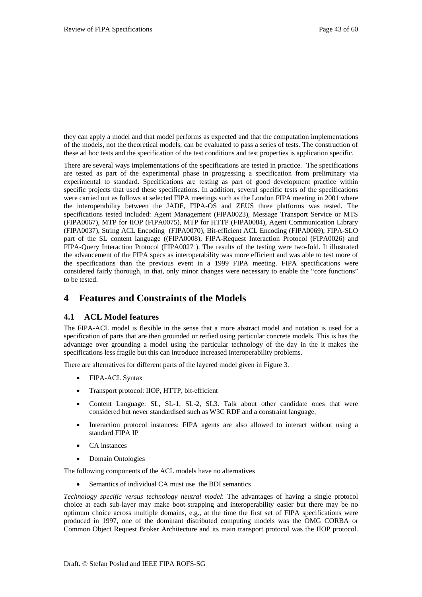they can apply a model and that model performs as expected and that the computation implementations of the models, not the theoretical models, can be evaluated to pass a series of tests. The construction of these ad hoc tests and the specification of the test conditions and test properties is application specific.

There are several ways implementations of the specifications are tested in practice. The specifications are tested as part of the experimental phase in progressing a specification from preliminary via experimental to standard. Specifications are testing as part of good development practice within specific projects that used these specifications. In addition, several specific tests of the specifications were carried out as follows at selected FIPA meetings such as the London FIPA meeting in 2001 where the interoperability between the JADE, FIPA-OS and ZEUS three platforms was tested. The specifications tested included: Agent Management (FIPA0023), Message Transport Service or MTS (FIPA0067), MTP for IIOP (FIPA0075), MTP for HTTP (FIPA0084), Agent Communication Library (FIPA0037), String ACL Encoding (FIPA0070), Bit-efficient ACL Encoding (FIPA0069), FIPA-SLO part of the SL content language ((FIPA0008), FIPA-Request Interaction Protocol (FIPA0026) and FIPA-Query Interaction Protocol (FIPA0027 ). The results of the testing were two-fold. It illustrated the advancement of the FIPA specs as interoperability was more efficient and was able to test more of the specifications than the previous event in a 1999 FIPA meeting. FIPA specifications were considered fairly thorough, in that, only minor changes were necessary to enable the "core functions" to be tested.

# **4 Features and Constraints of the Models**

#### **4.1 ACL Model features**

The FIPA-ACL model is flexible in the sense that a more abstract model and notation is used for a specification of parts that are then grounded or reified using particular concrete models. This is has the advantage over grounding a model using the particular technology of the day in the it makes the specifications less fragile but this can introduce increased interoperability problems.

There are alternatives for different parts of the layered model given in Figure 3.

- FIPA-ACL Syntax
- Transport protocol: IIOP, HTTP, bit-efficient
- Content Language: SL, SL-1, SL-2, SL3. Talk about other candidate ones that were considered but never standardised such as W3C RDF and a constraint language,
- Interaction protocol instances: FIPA agents are also allowed to interact without using a standard FIPA IP
- CA instances
- Domain Ontologies

The following components of the ACL models have no alternatives

Semantics of individual CA must use the BDI semantics

*Technology specific versus technology neutral model*: The advantages of having a single protocol choice at each sub-layer may make boot-strapping and interoperability easier but there may be no optimum choice across multiple domains, e.g., at the time the first set of FIPA specifications were produced in 1997, one of the dominant distributed computing models was the OMG CORBA or Common Object Request Broker Architecture and its main transport protocol was the IIOP protocol.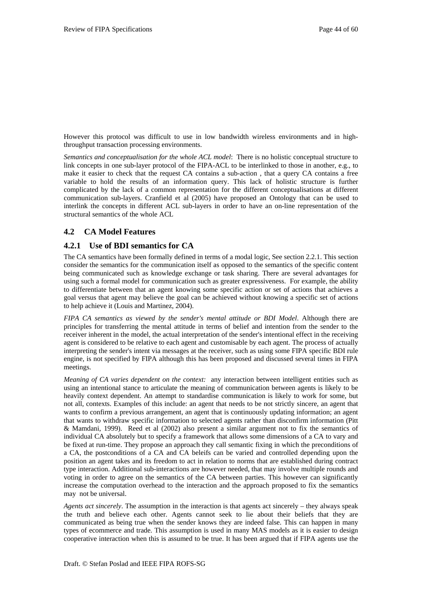However this protocol was difficult to use in low bandwidth wireless environments and in highthroughput transaction processing environments.

*Semantics and conceptualisation for the whole ACL model*: There is no holistic conceptual structure to link concepts in one sub-layer protocol of the FIPA-ACL to be interlinked to those in another, e.g., to make it easier to check that the request CA contains a sub-action , that a query CA contains a free variable to hold the results of an information query. This lack of holistic structure is further complicated by the lack of a common representation for the different conceptualisations at different communication sub-layers. Cranfield et al (2005) have proposed an Ontology that can be used to interlink the concepts in different ACL sub-layers in order to have an on-line representation of the structural semantics of the whole ACL

# **4.2 CA Model Features**

# **4.2.1 Use of BDI semantics for CA**

The CA semantics have been formally defined in terms of a modal logic, See section 2.2.1. This section consider the semantics for the communication itself as opposed to the semantics of the specific content being communicated such as knowledge exchange or task sharing. There are several advantages for using such a formal model for communication such as greater expressiveness. For example, the ability to differentiate between that an agent knowing some specific action or set of actions that achieves a goal versus that agent may believe the goal can be achieved without knowing a specific set of actions to help achieve it (Louis and Martinez, 2004).

*FIPA CA semantics as viewed by the sender's mental attitude or BDI Model*. Although there are principles for transferring the mental attitude in terms of belief and intention from the sender to the receiver inherent in the model, the actual interpretation of the sender's intentional effect in the receiving agent is considered to be relative to each agent and customisable by each agent. The process of actually interpreting the sender's intent via messages at the receiver, such as using some FIPA specific BDI rule engine, is not specified by FIPA although this has been proposed and discussed several times in FIPA meetings.

*Meaning of CA varies dependent on the context:* any interaction between intelligent entities such as using an intentional stance to articulate the meaning of communication between agents is likely to be heavily context dependent. An attempt to standardise communication is likely to work for some, but not all, contexts. Examples of this include: an agent that needs to be not strictly sincere, an agent that wants to confirm a previous arrangement, an agent that is continuously updating information; an agent that wants to withdraw specific information to selected agents rather than disconfirm information (Pitt & Mamdani, 1999). Reed et al (2002) also present a similar argument not to fix the semantics of individual CA absolutely but to specify a framework that allows some dimensions of a CA to vary and be fixed at run-time. They propose an approach they call semantic fixing in which the preconditions of a CA, the postconditions of a CA and CA beleifs can be varied and controlled depending upon the position an agent takes and its freedom to act in relation to norms that are established during contract type interaction. Additional sub-interactions are however needed, that may involve multiple rounds and voting in order to agree on the semantics of the CA between parties. This however can significantly increase the computation overhead to the interaction and the approach proposed to fix the semantics may not be universal.

*Agents act sincerely*. The assumption in the interaction is that agents act sincerely – they always speak the truth and believe each other. Agents cannot seek to lie about their beliefs that they are communicated as being true when the sender knows they are indeed false. This can happen in many types of ecommerce and trade. This assumption is used in many MAS models as it is easier to design cooperative interaction when this is assumed to be true. It has been argued that if FIPA agents use the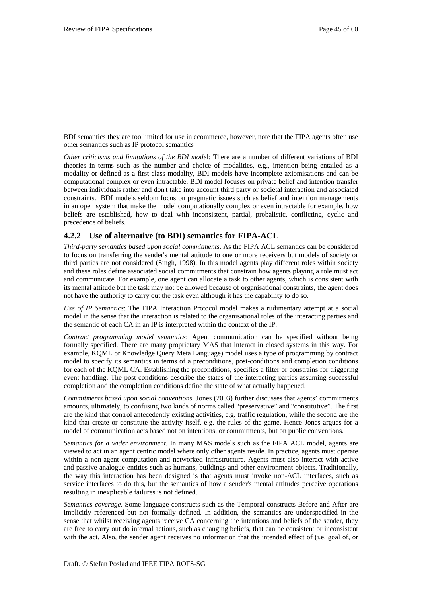BDI semantics they are too limited for use in ecommerce, however, note that the FIPA agents often use other semantics such as IP protocol semantics

*Other criticisms and limitations of the BDI mode*l: There are a number of different variations of BDI theories in terms such as the number and choice of modalities, e.g., intention being entailed as a modality or defined as a first class modality, BDI models have incomplete axiomisations and can be computational complex or even intractable. BDI model focuses on private belief and intention transfer between individuals rather and don't take into account third party or societal interaction and associated constraints. BDI models seldom focus on pragmatic issues such as belief and intention managements in an open system that make the model computationally complex or even intractable for example, how beliefs are established, how to deal with inconsistent, partial, probalistic, conflicting, cyclic and precedence of beliefs.

#### **4.2.2 Use of alternative (to BDI) semantics for FIPA-ACL**

*Third-party semantics based upon social commitments*. As the FIPA ACL semantics can be considered to focus on transferring the sender's mental attitude to one or more receivers but models of society or third parties are not considered (Singh, 1998). In this model agents play different roles within society and these roles define associated social commitments that constrain how agents playing a role must act and communicate. For example, one agent can allocate a task to other agents, which is consistent with its mental attitude but the task may not be allowed because of organisational constraints, the agent does not have the authority to carry out the task even although it has the capability to do so.

*Use of IP Semantics*: The FIPA Interaction Protocol model makes a rudimentary attempt at a social model in the sense that the interaction is related to the organisational roles of the interacting parties and the semantic of each CA in an IP is interpreted within the context of the IP.

*Contract programming model semantics*: Agent communication can be specified without being formally specified. There are many proprietary MAS that interact in closed systems in this way. For example, KQML or Knowledge Query Meta Language) model uses a type of programming by contract model to specify its semantics in terms of a preconditions, post-conditions and completion conditions for each of the KQML CA. Establishing the preconditions, specifies a filter or constrains for triggering event handling. The post-conditions describe the states of the interacting parties assuming successful completion and the completion conditions define the state of what actually happened.

*Commitments based upon social conventions*. Jones (2003) further discusses that agents' commitments amounts, ultimately, to confusing two kinds of norms called "preservative" and "constitutive". The first are the kind that control antecedently existing activities, e.g. traffic regulation, while the second are the kind that create or constitute the activity itself, e.g. the rules of the game. Hence Jones argues for a model of communication acts based not on intentions, or commitments, but on public conventions.

*Semantics for a wider environment*. In many MAS models such as the FIPA ACL model, agents are viewed to act in an agent centric model where only other agents reside. In practice, agents must operate within a non-agent computation and networked infrastructure. Agents must also interact with active and passive analogue entities such as humans, buildings and other environment objects. Traditionally, the way this interaction has been designed is that agents must invoke non-ACL interfaces, such as service interfaces to do this, but the semantics of how a sender's mental attitudes perceive operations resulting in inexplicable failures is not defined.

*Semantics coverage*. Some language constructs such as the Temporal constructs Before and After are implicitly referenced but not formally defined. In addition, the semantics are underspecified in the sense that whilst receiving agents receive CA concerning the intentions and beliefs of the sender, they are free to carry out do internal actions, such as changing beliefs, that can be consistent or inconsistent with the act. Also, the sender agent receives no information that the intended effect of (i.e. goal of, or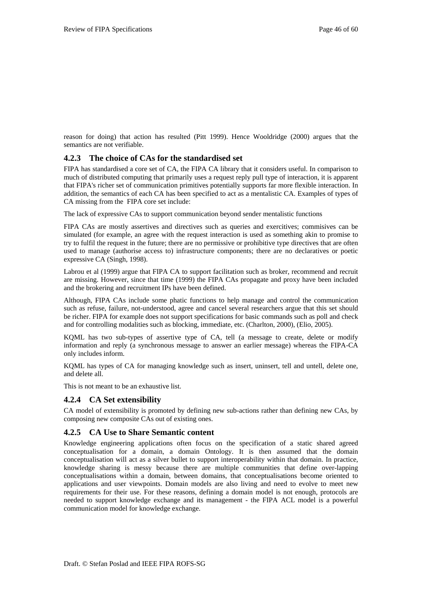reason for doing) that action has resulted (Pitt 1999). Hence Wooldridge (2000) argues that the semantics are not verifiable.

### **4.2.3 The choice of CAs for the standardised set**

FIPA has standardised a core set of CA, the FIPA CA library that it considers useful. In comparison to much of distributed computing that primarily uses a request reply pull type of interaction, it is apparent that FIPA's richer set of communication primitives potentially supports far more flexible interaction. In addition, the semantics of each CA has been specified to act as a mentalistic CA. Examples of types of CA missing from the FIPA core set include:

The lack of expressive CAs to support communication beyond sender mentalistic functions

FIPA CAs are mostly assertives and directives such as queries and exercitives; commisives can be simulated (for example, an agree with the request interaction is used as something akin to promise to try to fulfil the request in the future; there are no permissive or prohibitive type directives that are often used to manage (authorise access to) infrastructure components; there are no declaratives or poetic expressive CA (Singh, 1998).

Labrou et al (1999) argue that FIPA CA to support facilitation such as broker, recommend and recruit are missing. However, since that time (1999) the FIPA CAs propagate and proxy have been included and the brokering and recruitment IPs have been defined.

Although, FIPA CAs include some phatic functions to help manage and control the communication such as refuse, failure, not-understood, agree and cancel several researchers argue that this set should be richer. FIPA for example does not support specifications for basic commands such as poll and check and for controlling modalities such as blocking, immediate, etc. (Charlton, 2000), (Elio, 2005).

KQML has two sub-types of assertive type of CA, tell (a message to create, delete or modify information and reply (a synchronous message to answer an earlier message) whereas the FIPA-CA only includes inform.

KQML has types of CA for managing knowledge such as insert, uninsert, tell and untell, delete one, and delete all.

This is not meant to be an exhaustive list.

# **4.2.4 CA Set extensibility**

CA model of extensibility is promoted by defining new sub-actions rather than defining new CAs, by composing new composite CAs out of existing ones.

#### **4.2.5 CA Use to Share Semantic content**

Knowledge engineering applications often focus on the specification of a static shared agreed conceptualisation for a domain, a domain Ontology. It is then assumed that the domain conceptualisation will act as a silver bullet to support interoperability within that domain. In practice, knowledge sharing is messy because there are multiple communities that define over-lapping conceptualisations within a domain, between domains, that conceptualisations become oriented to applications and user viewpoints. Domain models are also living and need to evolve to meet new requirements for their use. For these reasons, defining a domain model is not enough, protocols are needed to support knowledge exchange and its management - the FIPA ACL model is a powerful communication model for knowledge exchange.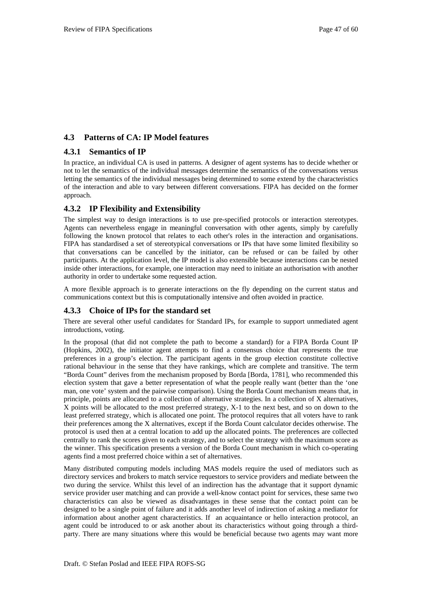# **4.3 Patterns of CA: IP Model features**

### **4.3.1 Semantics of IP**

In practice, an individual CA is used in patterns. A designer of agent systems has to decide whether or not to let the semantics of the individual messages determine the semantics of the conversations versus letting the semantics of the individual messages being determined to some extend by the characteristics of the interaction and able to vary between different conversations. FIPA has decided on the former approach.

# **4.3.2 IP Flexibility and Extensibility**

The simplest way to design interactions is to use pre-specified protocols or interaction stereotypes. Agents can nevertheless engage in meaningful conversation with other agents, simply by carefully following the known protocol that relates to each other's roles in the interaction and organisations. FIPA has standardised a set of stereotypical conversations or IPs that have some limited flexibility so that conversations can be cancelled by the initiator, can be refused or can be failed by other participants. At the application level, the IP model is also extensible because interactions can be nested inside other interactions, for example, one interaction may need to initiate an authorisation with another authority in order to undertake some requested action.

A more flexible approach is to generate interactions on the fly depending on the current status and communications context but this is computationally intensive and often avoided in practice.

#### **4.3.3 Choice of IPs for the standard set**

There are several other useful candidates for Standard IPs, for example to support unmediated agent introductions, voting.

In the proposal (that did not complete the path to become a standard) for a FIPA Borda Count IP (Hopkins, 2002), the initiator agent attempts to find a consensus choice that represents the true preferences in a group's election. The participant agents in the group election constitute collective rational behaviour in the sense that they have rankings, which are complete and transitive. The term "Borda Count" derives from the mechanism proposed by Borda [Borda, 1781], who recommended this election system that gave a better representation of what the people really want (better than the 'one man, one vote' system and the pairwise comparison). Using the Borda Count mechanism means that, in principle, points are allocated to a collection of alternative strategies. In a collection of X alternatives, X points will be allocated to the most preferred strategy, X-1 to the next best, and so on down to the least preferred strategy, which is allocated one point. The protocol requires that all voters have to rank their preferences among the X alternatives, except if the Borda Count calculator decides otherwise. The protocol is used then at a central location to add up the allocated points. The preferences are collected centrally to rank the scores given to each strategy, and to select the strategy with the maximum score as the winner. This specification presents a version of the Borda Count mechanism in which co-operating agents find a most preferred choice within a set of alternatives.

Many distributed computing models including MAS models require the used of mediators such as directory services and brokers to match service requestors to service providers and mediate between the two during the service. Whilst this level of an indirection has the advantage that it support dynamic service provider user matching and can provide a well-know contact point for services, these same two characteristics can also be viewed as disadvantages in these sense that the contact point can be designed to be a single point of failure and it adds another level of indirection of asking a mediator for information about another agent characteristics. If an acquaintance or hello interaction protocol, an agent could be introduced to or ask another about its characteristics without going through a thirdparty. There are many situations where this would be beneficial because two agents may want more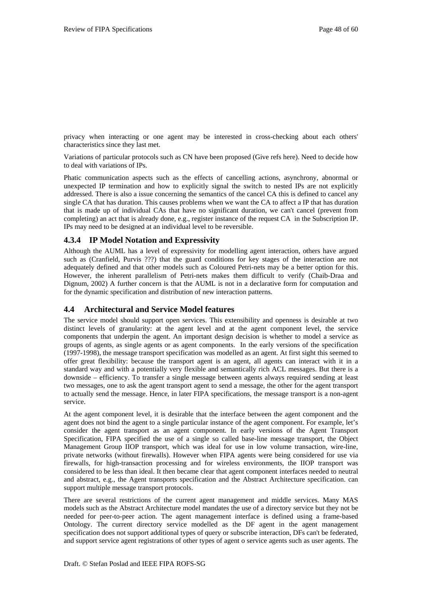privacy when interacting or one agent may be interested in cross-checking about each others' characteristics since they last met.

Variations of particular protocols such as CN have been proposed (Give refs here). Need to decide how to deal with variations of IPs.

Phatic communication aspects such as the effects of cancelling actions, asynchrony, abnormal or unexpected IP termination and how to explicitly signal the switch to nested IPs are not explicitly addressed. There is also a issue concerning the semantics of the cancel CA this is defined to cancel any single CA that has duration. This causes problems when we want the CA to affect a IP that has duration that is made up of individual CAs that have no significant duration, we can't cancel (prevent from completing) an act that is already done, e.g., register instance of the request CA in the Subscription IP. IPs may need to be designed at an individual level to be reversible.

#### **4.3.4 IP Model Notation and Expressivity**

Although the AUML has a level of expressivity for modelling agent interaction, others have argued such as (Cranfield, Purvis ???) that the guard conditions for key stages of the interaction are not adequately defined and that other models such as Coloured Petri-nets may be a better option for this. However, the inherent parallelism of Petri-nets makes them difficult to verify (Chaib-Draa and Dignum, 2002) A further concern is that the AUML is not in a declarative form for computation and for the dynamic specification and distribution of new interaction patterns.

#### **4.4 Architectural and Service Model features**

The service model should support open services. This extensibility and openness is desirable at two distinct levels of granularity: at the agent level and at the agent component level, the service components that underpin the agent. An important design decision is whether to model a service as groups of agents, as single agents or as agent components. In the early versions of the specification (1997-1998), the message transport specification was modelled as an agent. At first sight this seemed to offer great flexibility: because the transport agent is an agent, all agents can interact with it in a standard way and with a potentially very flexible and semantically rich ACL messages. But there is a downside – efficiency. To transfer a single message between agents always required sending at least two messages, one to ask the agent transport agent to send a message, the other for the agent transport to actually send the message. Hence, in later FIPA specifications, the message transport is a non-agent service.

At the agent component level, it is desirable that the interface between the agent component and the agent does not bind the agent to a single particular instance of the agent component. For example, let's consider the agent transport as an agent component. In early versions of the Agent Transport Specification, FIPA specified the use of a single so called base-line message transport, the Object Management Group IIOP transport, which was ideal for use in low volume transaction, wire-line, private networks (without firewalls). However when FIPA agents were being considered for use via firewalls, for high-transaction processing and for wireless environments, the IIOP transport was considered to be less than ideal. It then became clear that agent component interfaces needed to neutral and abstract, e.g., the Agent transports specification and the Abstract Architecture specification. can support multiple message transport protocols.

There are several restrictions of the current agent management and middle services. Many MAS models such as the Abstract Architecture model mandates the use of a directory service but they not be needed for peer-to-peer action. The agent management interface is defined using a frame-based Ontology. The current directory service modelled as the DF agent in the agent management specification does not support additional types of query or subscribe interaction, DFs can't be federated, and support service agent registrations of other types of agent o service agents such as user agents. The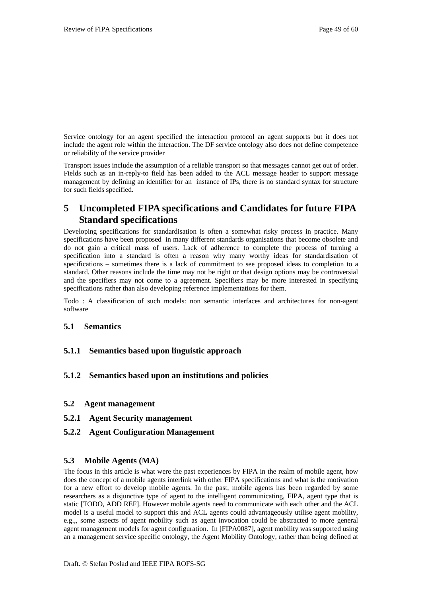Service ontology for an agent specified the interaction protocol an agent supports but it does not include the agent role within the interaction. The DF service ontology also does not define competence or reliability of the service provider

Transport issues include the assumption of a reliable transport so that messages cannot get out of order. Fields such as an in-reply-to field has been added to the ACL message header to support message management by defining an identifier for an instance of IPs, there is no standard syntax for structure for such fields specified.

# **5 Uncompleted FIPA specifications and Candidates for future FIPA Standard specifications**

Developing specifications for standardisation is often a somewhat risky process in practice. Many specifications have been proposed in many different standards organisations that become obsolete and do not gain a critical mass of users. Lack of adherence to complete the process of turning a specification into a standard is often a reason why many worthy ideas for standardisation of specifications – sometimes there is a lack of commitment to see proposed ideas to completion to a standard. Other reasons include the time may not be right or that design options may be controversial and the specifiers may not come to a agreement. Specifiers may be more interested in specifying specifications rather than also developing reference implementations for them.

Todo : A classification of such models: non semantic interfaces and architectures for non-agent software

# **5.1 Semantics**

#### **5.1.1 Semantics based upon linguistic approach**

#### **5.1.2 Semantics based upon an institutions and policies**

- **5.2 Agent management**
- **5.2.1 Agent Security management**
- **5.2.2 Agent Configuration Management**

#### **5.3 Mobile Agents (MA)**

The focus in this article is what were the past experiences by FIPA in the realm of mobile agent, how does the concept of a mobile agents interlink with other FIPA specifications and what is the motivation for a new effort to develop mobile agents. In the past, mobile agents has been regarded by some researchers as a disjunctive type of agent to the intelligent communicating, FIPA, agent type that is static [TODO, ADD REF]. However mobile agents need to communicate with each other and the ACL model is a useful model to support this and ACL agents could advantageously utilise agent mobility, e.g.,, some aspects of agent mobility such as agent invocation could be abstracted to more general agent management models for agent configuration. In [FIPA0087], agent mobility was supported using an a management service specific ontology, the Agent Mobility Ontology, rather than being defined at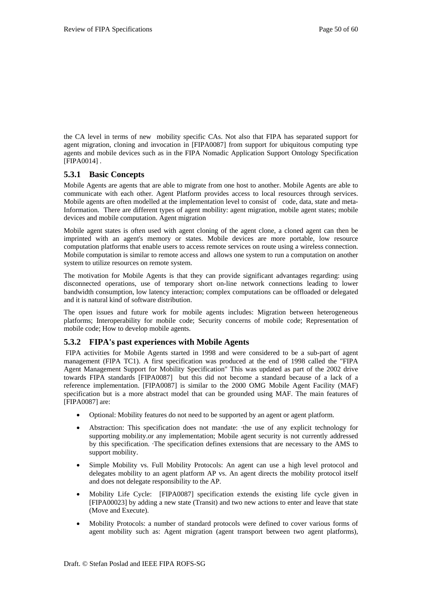the CA level in terms of new mobility specific CAs. Not also that FIPA has separated support for agent migration, cloning and invocation in [FIPA0087] from support for ubiquitous computing type agents and mobile devices such as in the FIPA Nomadic Application Support Ontology Specification [FIPA0014] .

# **5.3.1 Basic Concepts**

Mobile Agents are agents that are able to migrate from one host to another. Mobile Agents are able to communicate with each other. Agent Platform provides access to local resources through services. Mobile agents are often modelled at the implementation level to consist of code, data, state and meta-Information. There are different types of agent mobility: agent migration, mobile agent states; mobile devices and mobile computation. Agent migration

Mobile agent states is often used with agent cloning of the agent clone, a cloned agent can then be imprinted with an agent's memory or states. Mobile devices are more portable, low resource computation platforms that enable users to access remote services on route using a wireless connection. Mobile computation is similar to remote access and allows one system to run a computation on another system to utilize resources on remote system.

The motivation for Mobile Agents is that they can provide significant advantages regarding: using disconnected operations, use of temporary short on-line network connections leading to lower bandwidth consumption, low latency interaction; complex computations can be offloaded or delegated and it is natural kind of software distribution.

The open issues and future work for mobile agents includes: Migration between heterogeneous platforms; Interoperability for mobile code; Security concerns of mobile code; Representation of mobile code; How to develop mobile agents.

# **5.3.2 FIPA's past experiences with Mobile Agents**

 FIPA activities for Mobile Agents started in 1998 and were considered to be a sub-part of agent management (FIPA TC1). A first specification was produced at the end of 1998 called the "FIPA Agent Management Support for Mobility Specification" This was updated as part of the 2002 drive towards FIPA standards [FIPA0087] but this did not become a standard because of a lack of a reference implementation. [FIPA0087] is similar to the 2000 OMG Mobile Agent Facility (MAF) specification but is a more abstract model that can be grounded using MAF. The main features of [FIPA0087] are:

- Optional: Mobility features do not need to be supported by an agent or agent platform.
- Abstraction: This specification does not mandate: ·the use of any explicit technology for supporting mobility.or any implementation; Mobile agent security is not currently addressed by this specification. ·The specification defines extensions that are necessary to the AMS to support mobility.
- Simple Mobility vs. Full Mobility Protocols: An agent can use a high level protocol and delegates mobility to an agent platform AP vs. An agent directs the mobility protocol itself and does not delegate responsibility to the AP.
- Mobility Life Cycle: [FIPA0087] specification extends the existing life cycle given in [FIPA00023] by adding a new state (Transit) and two new actions to enter and leave that state (Move and Execute).
- Mobility Protocols: a number of standard protocols were defined to cover various forms of agent mobility such as: Agent migration (agent transport between two agent platforms),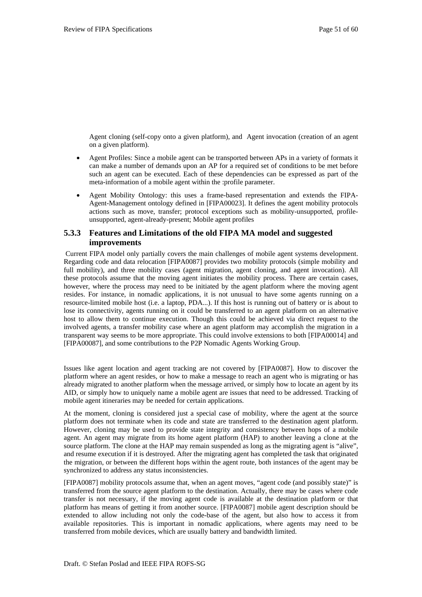Agent cloning (self-copy onto a given platform), and Agent invocation (creation of an agent on a given platform).

- Agent Profiles: Since a mobile agent can be transported between APs in a variety of formats it can make a number of demands upon an AP for a required set of conditions to be met before such an agent can be executed. Each of these dependencies can be expressed as part of the meta-information of a mobile agent within the :profile parameter.
- Agent Mobility Ontology: this uses a frame-based representation and extends the FIPA-Agent-Management ontology defined in [FIPA00023]. It defines the agent mobility protocols actions such as move, transfer; protocol exceptions such as mobility-unsupported, profileunsupported, agent-already-present; Mobile agent profiles

### **5.3.3 Features and Limitations of the old FIPA MA model and suggested improvements**

 Current FIPA model only partially covers the main challenges of mobile agent systems development. Regarding code and data relocation [FIPA0087] provides two mobility protocols (simple mobility and full mobility), and three mobility cases (agent migration, agent cloning, and agent invocation). All these protocols assume that the moving agent initiates the mobility process. There are certain cases, however, where the process may need to be initiated by the agent platform where the moving agent resides. For instance, in nomadic applications, it is not unusual to have some agents running on a resource-limited mobile host (i.e. a laptop, PDA...). If this host is running out of battery or is about to lose its connectivity, agents running on it could be transferred to an agent platform on an alternative host to allow them to continue execution. Though this could be achieved via direct request to the involved agents, a transfer mobility case where an agent platform may accomplish the migration in a transparent way seems to be more appropriate. This could involve extensions to both [FIPA00014] and [FIPA00087], and some contributions to the P2P Nomadic Agents Working Group.

Issues like agent location and agent tracking are not covered by [FIPA0087]. How to discover the platform where an agent resides, or how to make a message to reach an agent who is migrating or has already migrated to another platform when the message arrived, or simply how to locate an agent by its AID, or simply how to uniquely name a mobile agent are issues that need to be addressed. Tracking of mobile agent itineraries may be needed for certain applications.

At the moment, cloning is considered just a special case of mobility, where the agent at the source platform does not terminate when its code and state are transferred to the destination agent platform. However, cloning may be used to provide state integrity and consistency between hops of a mobile agent. An agent may migrate from its home agent platform (HAP) to another leaving a clone at the source platform. The clone at the HAP may remain suspended as long as the migrating agent is "alive", and resume execution if it is destroyed. After the migrating agent has completed the task that originated the migration, or between the different hops within the agent route, both instances of the agent may be synchronized to address any status inconsistencies.

[FIPA0087] mobility protocols assume that, when an agent moves, "agent code (and possibly state)" is transferred from the source agent platform to the destination. Actually, there may be cases where code transfer is not necessary, if the moving agent code is available at the destination platform or that platform has means of getting it from another source. [FIPA0087] mobile agent description should be extended to allow including not only the code-base of the agent, but also how to access it from available repositories. This is important in nomadic applications, where agents may need to be transferred from mobile devices, which are usually battery and bandwidth limited.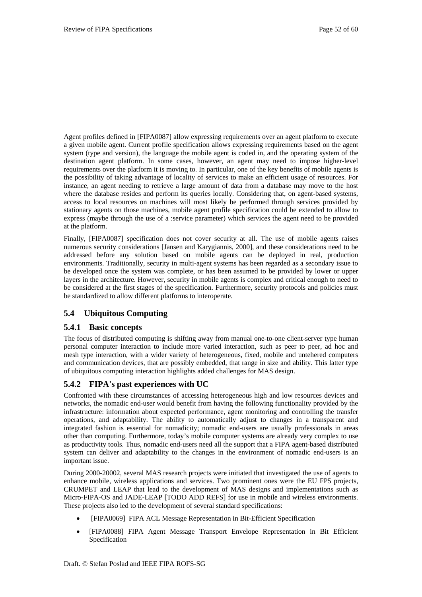Agent profiles defined in [FIPA0087] allow expressing requirements over an agent platform to execute a given mobile agent. Current profile specification allows expressing requirements based on the agent system (type and version), the language the mobile agent is coded in, and the operating system of the destination agent platform. In some cases, however, an agent may need to impose higher-level requirements over the platform it is moving to. In particular, one of the key benefits of mobile agents is the possibility of taking advantage of locality of services to make an efficient usage of resources. For instance, an agent needing to retrieve a large amount of data from a database may move to the host where the database resides and perform its queries locally. Considering that, on agent-based systems, access to local resources on machines will most likely be performed through services provided by stationary agents on those machines, mobile agent profile specification could be extended to allow to express (maybe through the use of a :service parameter) which services the agent need to be provided at the platform.

Finally, [FIPA0087] specification does not cover security at all. The use of mobile agents raises numerous security considerations [Jansen and Karygiannis, 2000], and these considerations need to be addressed before any solution based on mobile agents can be deployed in real, production environments. Traditionally, security in multi-agent systems has been regarded as a secondary issue to be developed once the system was complete, or has been assumed to be provided by lower or upper layers in the architecture. However, security in mobile agents is complex and critical enough to need to be considered at the first stages of the specification. Furthermore, security protocols and policies must be standardized to allow different platforms to interoperate.

# **5.4 Ubiquitous Computing**

# **5.4.1 Basic concepts**

The focus of distributed computing is shifting away from manual one-to-one client-server type human personal computer interaction to include more varied interaction, such as peer to peer, ad hoc and mesh type interaction, with a wider variety of heterogeneous, fixed, mobile and untehered computers and communication devices, that are possibly embedded, that range in size and ability. This latter type of ubiquitous computing interaction highlights added challenges for MAS design.

# **5.4.2 FIPA's past experiences with UC**

Confronted with these circumstances of accessing heterogeneous high and low resources devices and networks, the nomadic end-user would benefit from having the following functionality provided by the infrastructure: information about expected performance, agent monitoring and controlling the transfer operations, and adaptability. The ability to automatically adjust to changes in a transparent and integrated fashion is essential for nomadicity; nomadic end-users are usually professionals in areas other than computing. Furthermore, today's mobile computer systems are already very complex to use as productivity tools. Thus, nomadic end-users need all the support that a FIPA agent-based distributed system can deliver and adaptability to the changes in the environment of nomadic end-users is an important issue.

During 2000-20002, several MAS research projects were initiated that investigated the use of agents to enhance mobile, wireless applications and services. Two prominent ones were the EU FP5 projects, CRUMPET and LEAP that lead to the development of MAS designs and implementations such as Micro-FIPA-OS and JADE-LEAP [TODO ADD REFS] for use in mobile and wireless environments. These projects also led to the development of several standard specifications:

- [FIPA0069] FIPA ACL Message Representation in Bit-Efficient Specification
- [FIPA0088] FIPA Agent Message Transport Envelope Representation in Bit Efficient Specification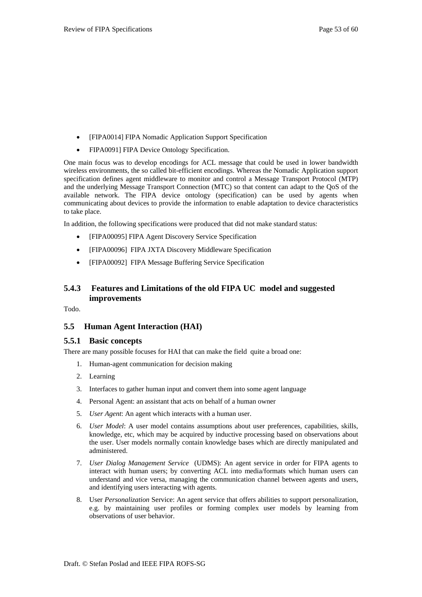- [FIPA0014] FIPA Nomadic Application Support Specification
- FIPA0091] FIPA Device Ontology Specification.

One main focus was to develop encodings for ACL message that could be used in lower bandwidth wireless environments, the so called bit-efficient encodings. Whereas the Nomadic Application support specification defines agent middleware to monitor and control a Message Transport Protocol (MTP) and the underlying Message Transport Connection (MTC) so that content can adapt to the QoS of the available network. The FIPA device ontology (specification) can be used by agents when communicating about devices to provide the information to enable adaptation to device characteristics to take place.

In addition, the following specifications were produced that did not make standard status:

- [FIPA00095] FIPA Agent Discovery Service Specification
- [FIPA00096] FIPA JXTA Discovery Middleware Specification
- [FIPA00092] FIPA Message Buffering Service Specification

# **5.4.3 Features and Limitations of the old FIPA UC model and suggested improvements**

Todo.

# **5.5 Human Agent Interaction (HAI)**

#### **5.5.1 Basic concepts**

There are many possible focuses for HAI that can make the field quite a broad one:

- 1. Human-agent communication for decision making
- 2. Learning
- 3. Interfaces to gather human input and convert them into some agent language
- 4. Personal Agent: an assistant that acts on behalf of a human owner
- 5. *User Agent*: An agent which interacts with a human user.
- 6. *User Model*: A user model contains assumptions about user preferences, capabilities, skills, knowledge, etc, which may be acquired by inductive processing based on observations about the user. User models normally contain knowledge bases which are directly manipulated and administered.
- 7. *User Dialog Management Service* (UDMS): An agent service in order for FIPA agents to interact with human users; by converting ACL into media/formats which human users can understand and vice versa, managing the communication channel between agents and users, and identifying users interacting with agents.
- 8. User *Personalization* Service: An agent service that offers abilities to support personalization, e.g. by maintaining user profiles or forming complex user models by learning from observations of user behavior.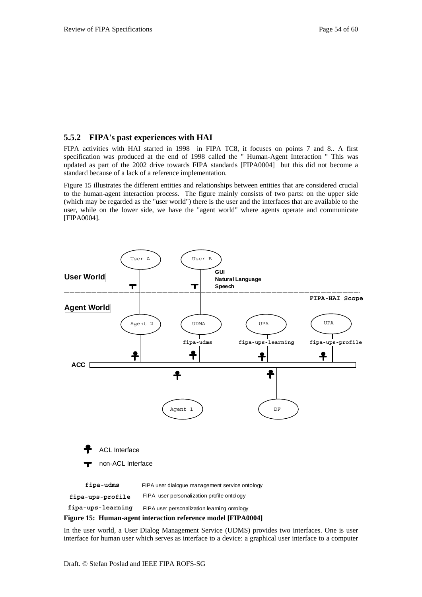### **5.5.2 FIPA's past experiences with HAI**

FIPA activities with HAI started in 1998 in FIPA TC8, it focuses on points 7 and 8.. A first specification was produced at the end of 1998 called the " Human-Agent Interaction " This was updated as part of the 2002 drive towards FIPA standards [FIPA0004] but this did not become a standard because of a lack of a reference implementation.

Figure 15 illustrates the different entities and relationships between entities that are considered crucial to the human-agent interaction process. The figure mainly consists of two parts: on the upper side (which may be regarded as the "user world") there is the user and the interfaces that are available to the user, while on the lower side, we have the "agent world" where agents operate and communicate [FIPA0004].



In the user world, a User Dialog Management Service (UDMS) provides two interfaces. One is user interface for human user which serves as interface to a device: a graphical user interface to a computer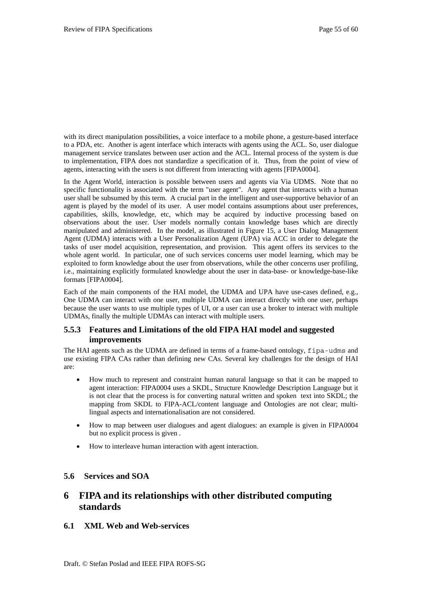with its direct manipulation possibilities, a voice interface to a mobile phone, a gesture-based interface to a PDA, etc. Another is agent interface which interacts with agents using the ACL. So, user dialogue management service translates between user action and the ACL. Internal process of the system is due to implementation, FIPA does not standardize a specification of it. Thus, from the point of view of agents, interacting with the users is not different from interacting with agents [FIPA0004].

In the Agent World, interaction is possible between users and agents via Via UDMS. Note that no specific functionality is associated with the term "user agent". Any agent that interacts with a human user shall be subsumed by this term. A crucial part in the intelligent and user-supportive behavior of an agent is played by the model of its user. A user model contains assumptions about user preferences, capabilities, skills, knowledge, etc, which may be acquired by inductive processing based on observations about the user. User models normally contain knowledge bases which are directly manipulated and administered. In the model, as illustrated in Figure 15, a User Dialog Management Agent (UDMA) interacts with a User Personalization Agent (UPA) via ACC in order to delegate the tasks of user model acquisition, representation, and provision. This agent offers its services to the whole agent world. In particular, one of such services concerns user model learning, which may be exploited to form knowledge about the user from observations, while the other concerns user profiling, i.e., maintaining explicitly formulated knowledge about the user in data-base- or knowledge-base-like formats [FIPA0004].

Each of the main components of the HAI model, the UDMA and UPA have use-cases defined, e.g., One UDMA can interact with one user, multiple UDMA can interact directly with one user, perhaps because the user wants to use multiple types of UI, or a user can use a broker to interact with multiple UDMAs, finally the multiple UDMAs can interact with multiple users.

# **5.5.3 Features and Limitations of the old FIPA HAI model and suggested improvements**

The HAI agents such as the UDMA are defined in terms of a frame-based ontology, fipa-udms and use existing FIPA CAs rather than defining new CAs. Several key challenges for the design of HAI are:

- How much to represent and constraint human natural language so that it can be mapped to agent interaction: FIPA0004 uses a SKDL, Structure Knowledge Description Language but it is not clear that the process is for converting natural written and spoken text into SKDL; the mapping from SKDL to FIPA-ACL/content language and Ontologies are not clear; multilingual aspects and internationalisation are not considered.
- How to map between user dialogues and agent dialogues: an example is given in FIPA0004 but no explicit process is given .
- How to interleave human interaction with agent interaction.

# **5.6 Services and SOA**

# **6 FIPA and its relationships with other distributed computing standards**

# **6.1 XML Web and Web-services**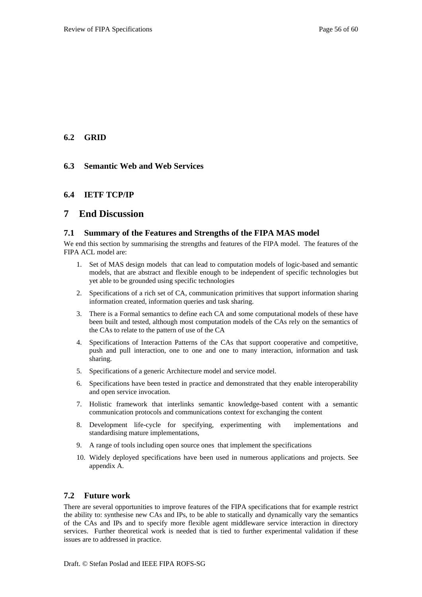# **6.2 GRID**

# **6.3 Semantic Web and Web Services**

# **6.4 IETF TCP/IP**

# **7 End Discussion**

# **7.1 Summary of the Features and Strengths of the FIPA MAS model**

We end this section by summarising the strengths and features of the FIPA model. The features of the FIPA ACL model are:

- 1. Set of MAS design models that can lead to computation models of logic-based and semantic models, that are abstract and flexible enough to be independent of specific technologies but yet able to be grounded using specific technologies
- 2. Specifications of a rich set of CA, communication primitives that support information sharing information created, information queries and task sharing.
- 3. There is a Formal semantics to define each CA and some computational models of these have been built and tested, although most computation models of the CAs rely on the semantics of the CAs to relate to the pattern of use of the CA
- 4. Specifications of Interaction Patterns of the CAs that support cooperative and competitive, push and pull interaction, one to one and one to many interaction, information and task sharing.
- 5. Specifications of a generic Architecture model and service model.
- 6. Specifications have been tested in practice and demonstrated that they enable interoperability and open service invocation.
- 7. Holistic framework that interlinks semantic knowledge-based content with a semantic communication protocols and communications context for exchanging the content
- 8. Development life-cycle for specifying, experimenting with implementations and standardising mature implementations,
- 9. A range of tools including open source ones that implement the specifications
- 10. Widely deployed specifications have been used in numerous applications and projects. See appendix A.

# **7.2 Future work**

There are several opportunities to improve features of the FIPA specifications that for example restrict the ability to: synthesise new CAs and IPs, to be able to statically and dynamically vary the semantics of the CAs and IPs and to specify more flexible agent middleware service interaction in directory services. Further theoretical work is needed that is tied to further experimental validation if these issues are to addressed in practice.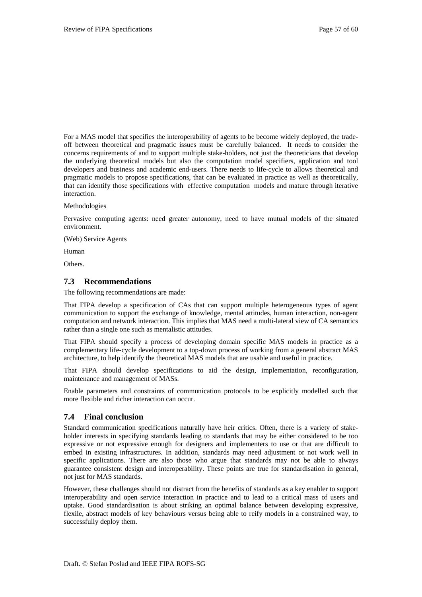For a MAS model that specifies the interoperability of agents to be become widely deployed, the tradeoff between theoretical and pragmatic issues must be carefully balanced. It needs to consider the concerns requirements of and to support multiple stake-holders, not just the theoreticians that develop the underlying theoretical models but also the computation model specifiers, application and tool developers and business and academic end-users. There needs to life-cycle to allows theoretical and pragmatic models to propose specifications, that can be evaluated in practice as well as theoretically, that can identify those specifications with effective computation models and mature through iterative interaction.

Methodologies

Pervasive computing agents: need greater autonomy, need to have mutual models of the situated environment.

(Web) Service Agents

Human

Others.

### **7.3 Recommendations**

The following recommendations are made:

That FIPA develop a specification of CAs that can support multiple heterogeneous types of agent communication to support the exchange of knowledge, mental attitudes, human interaction, non-agent computation and network interaction. This implies that MAS need a multi-lateral view of CA semantics rather than a single one such as mentalistic attitudes.

That FIPA should specify a process of developing domain specific MAS models in practice as a complementary life-cycle development to a top-down process of working from a general abstract MAS architecture, to help identify the theoretical MAS models that are usable and useful in practice.

That FIPA should develop specifications to aid the design, implementation, reconfiguration, maintenance and management of MASs.

Enable parameters and constraints of communication protocols to be explicitly modelled such that more flexible and richer interaction can occur.

# **7.4 Final conclusion**

Standard communication specifications naturally have heir critics. Often, there is a variety of stakeholder interests in specifying standards leading to standards that may be either considered to be too expressive or not expressive enough for designers and implementers to use or that are difficult to embed in existing infrastructures. In addition, standards may need adjustment or not work well in specific applications. There are also those who argue that standards may not be able to always guarantee consistent design and interoperability. These points are true for standardisation in general, not just for MAS standards.

However, these challenges should not distract from the benefits of standards as a key enabler to support interoperability and open service interaction in practice and to lead to a critical mass of users and uptake. Good standardisation is about striking an optimal balance between developing expressive, flexile, abstract models of key behaviours versus being able to reify models in a constrained way, to successfully deploy them.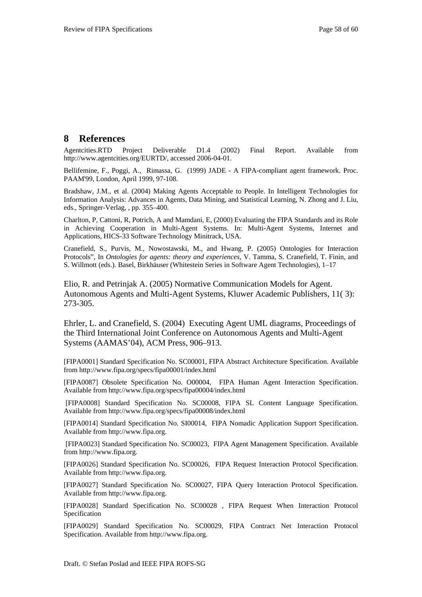# **8 References**

Agentcities.RTD Project Deliverable D1.4 (2002) Final Report. Available from http://www.agentcities.org/EURTD/, accessed 2006-04-01.

Bellifemine, F., Poggi, A., Rimassa, G. (1999) JADE - A FIPA-compliant agent framework. Proc. PAAM'99, London, April 1999, 97-108.

Bradshaw, J.M., et al. (2004) Making Agents Acceptable to People. In Intelligent Technologies for Information Analysis: Advances in Agents, Data Mining, and Statistical Learning, N. Zhong and J. Liu, eds., Springer-Verlag, , pp. 355–400.

Charlton, P, Cattoni, R, Potrich, A and Mamdani, E, (2000) Evaluating the FIPA Standards and its Role in Achieving Cooperation in Multi-Agent Systems. In: Multi-Agent Systems, Internet and Applications, HICS-33 Software Technology Minitrack, USA.

Cranefield, S., Purvis, M., Nowostawski, M., and Hwang, P. (2005) Ontologies for Interaction Protocols", In *Ontologies for agents: theory and experiences*, V. Tamma, S. Cranefield, T. Finin, and S. Willmott (eds.). Basel, Birkhäuser (Whitestein Series in Software Agent Technologies), 1–17

Elio, R. and Petrinjak A. (2005) Normative Communication Models for Agent. Autonomous Agents and Multi-Agent Systems, Kluwer Academic Publishers, 11( 3): 273-305.

Ehrler, L. and Cranefield, S. (2004) Executing Agent UML diagrams, Proceedings of the Third International Joint Conference on Autonomous Agents and Multi-Agent Systems (AAMAS'04), ACM Press, 906–913.

[FIPA0001] Standard Specification No. SC00001, FIPA Abstract Architecture Specification. Available from http://www.fipa.org/specs/fipa00001/index.html

[FIPA0087] Obsolete Specification No. O00004, FIPA Human Agent Interaction Specification. Available from http://www.fipa.org/specs/fipa00004/index.html

 [FIPA0008] Standard Specification No. SC00008, FIPA SL Content Language Specification. Available from http://www.fipa.org/specs/fipa00008/index.html

[FIPA0014] Standard Specification No. SI00014, FIPA Nomadic Application Support Specification. Available from http://www.fipa.org.

 [FIPA0023] Standard Specification No. SC00023, FIPA Agent Management Specification. Available from http://www.fipa.org.

[FIPA0026] Standard Specification No. SC00026, FIPA Request Interaction Protocol Specification. Available from http://www.fipa.org.

[FIPA0027] Standard Specification No. SC00027, FIPA Query Interaction Protocol Specification. Available from http://www.fipa.org.

[FIPA0028] Standard Specification No. SC00028 , FIPA Request When Interaction Protocol Specification

[FIPA0029] Standard Specification No. SC00029, FIPA Contract Net Interaction Protocol Specification. Available from http://www.fipa.org.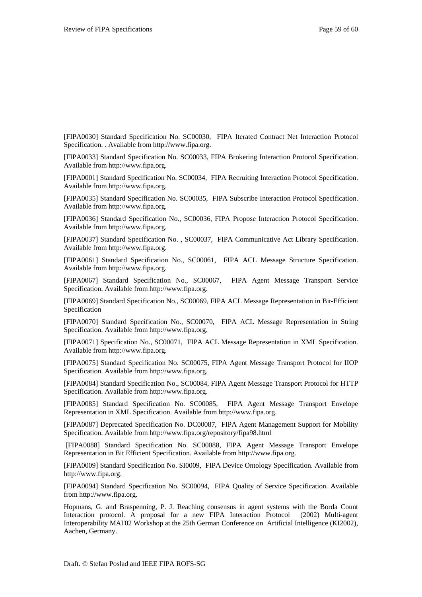[FIPA0030] Standard Specification No. SC00030, FIPA Iterated Contract Net Interaction Protocol Specification. . Available from http://www.fipa.org.

[FIPA0033] Standard Specification No. SC00033, FIPA Brokering Interaction Protocol Specification. Available from http://www.fipa.org.

[FIPA0001] Standard Specification No. SC00034, FIPA Recruiting Interaction Protocol Specification. Available from http://www.fipa.org.

[FIPA0035] Standard Specification No. SC00035, FIPA Subscribe Interaction Protocol Specification. Available from http://www.fipa.org.

[FIPA0036] Standard Specification No., SC00036, FIPA Propose Interaction Protocol Specification. Available from http://www.fipa.org.

[FIPA0037] Standard Specification No. , SC00037, FIPA Communicative Act Library Specification. Available from http://www.fipa.org.

[FIPA0061] Standard Specification No., SC00061, FIPA ACL Message Structure Specification. Available from http://www.fipa.org.

[FIPA0067] Standard Specification No., SC00067, FIPA Agent Message Transport Service Specification. Available from http://www.fipa.org.

[FIPA0069] Standard Specification No., SC00069, FIPA ACL Message Representation in Bit-Efficient Specification

[FIPA0070] Standard Specification No., SC00070, FIPA ACL Message Representation in String Specification. Available from http://www.fipa.org.

[FIPA0071] Specification No., SC00071, FIPA ACL Message Representation in XML Specification. Available from http://www.fipa.org.

[FIPA0075] Standard Specification No. SC00075, FIPA Agent Message Transport Protocol for IIOP Specification. Available from http://www.fipa.org.

[FIPA0084] Standard Specification No., SC00084, FIPA Agent Message Transport Protocol for HTTP Specification. Available from http://www.fipa.org.

[FIPA0085] Standard Specification No. SC00085, FIPA Agent Message Transport Envelope Representation in XML Specification. Available from http://www.fipa.org.

[FIPA0087] Deprecated Specification No. DC00087, FIPA Agent Management Support for Mobility Specification. Available from http://www.fipa.org/repository/fipa98.html

 [FIPA0088] Standard Specification No. SC00088, FIPA Agent Message Transport Envelope Representation in Bit Efficient Specification. Available from http://www.fipa.org.

[FIPA0009] Standard Specification No. SI0009, FIPA Device Ontology Specification. Available from http://www.fipa.org.

[FIPA0094] Standard Specification No. SC00094, FIPA Quality of Service Specification. Available from http://www.fipa.org.

Hopmans, G. and Braspenning, P. J. Reaching consensus in agent systems with the Borda Count Interaction protocol. A proposal for a new FIPA Interaction Protocol (2002) Multi-agent Interoperability MAI'02 Workshop at the 25th German Conference on Artificial Intelligence (KI2002), Aachen, Germany.